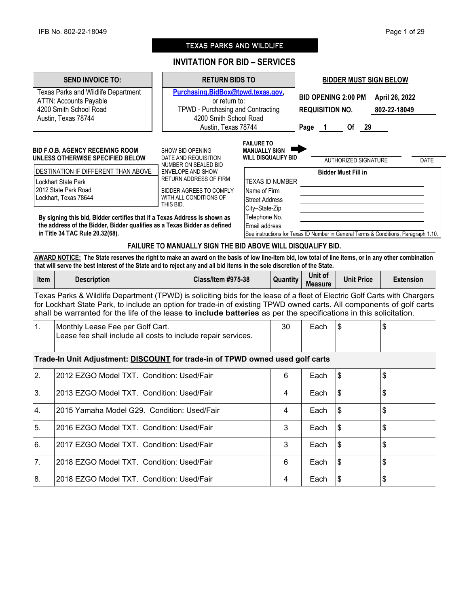# TEXAS PARKS AND WILDLIFE

# **INVITATION FOR BID – SERVICES**

|      | <b>SEND INVOICE TO:</b>                                                                                                                                                                                                                                                                                                                                                 | <b>RETURN BIDS TO</b>                                                                                             |                                                                         |      | <b>BIDDER MUST SIGN BELOW</b>                                                          |                             |  |                                                                                     |
|------|-------------------------------------------------------------------------------------------------------------------------------------------------------------------------------------------------------------------------------------------------------------------------------------------------------------------------------------------------------------------------|-------------------------------------------------------------------------------------------------------------------|-------------------------------------------------------------------------|------|----------------------------------------------------------------------------------------|-----------------------------|--|-------------------------------------------------------------------------------------|
|      | Texas Parks and Wildlife Department<br><b>ATTN: Accounts Payable</b><br>4200 Smith School Road<br>Austin, Texas 78744                                                                                                                                                                                                                                                   | Purchasing.BidBox@tpwd.texas.gov,<br>or return to:<br>TPWD - Purchasing and Contracting<br>4200 Smith School Road |                                                                         |      | <b>BID OPENING 2:00 PM</b><br>April 26, 2022<br><b>REQUISITION NO.</b><br>802-22-18049 |                             |  |                                                                                     |
|      |                                                                                                                                                                                                                                                                                                                                                                         | Austin, Texas 78744                                                                                               |                                                                         | Page | $\overline{\mathbf{1}}$                                                                | Of 29                       |  |                                                                                     |
|      | <b>BID F.O.B. AGENCY RECEIVING ROOM</b><br>UNLESS OTHERWISE SPECIFIED BELOW                                                                                                                                                                                                                                                                                             | SHOW BID OPENING<br>DATE AND REQUISITION                                                                          | <b>FAILURE TO</b><br><b>MANUALLY SIGN</b><br><b>WILL DISQUALIFY BID</b> |      |                                                                                        | <b>AUTHORIZED SIGNATURE</b> |  | <b>DATE</b>                                                                         |
|      | DESTINATION IF DIFFERENT THAN ABOVE<br>Lockhart State Park                                                                                                                                                                                                                                                                                                              | NUMBER ON SEALED BID<br><b>ENVELOPE AND SHOW</b><br><b>RETURN ADDRESS OF FIRM</b>                                 | <b>TEXAS ID NUMBER</b>                                                  |      |                                                                                        | <b>Bidder Must Fill in</b>  |  |                                                                                     |
|      | 2012 State Park Road<br>Lockhart, Texas 78644                                                                                                                                                                                                                                                                                                                           | BIDDER AGREES TO COMPLY<br>WITH ALL CONDITIONS OF<br>THIS BID.                                                    | Name of Firm<br><b>Street Address</b><br>City-State-Zip                 |      |                                                                                        |                             |  |                                                                                     |
|      | By signing this bid, Bidder certifies that if a Texas Address is shown as<br>the address of the Bidder, Bidder qualifies as a Texas Bidder as defined<br>in Title 34 TAC Rule 20.32(68).                                                                                                                                                                                |                                                                                                                   | Telephone No.<br>Email address                                          |      |                                                                                        |                             |  | See instructions for Texas ID Number in General Terms & Conditions, Paragraph 1.10. |
|      | AWARD NOTICE: The State reserves the right to make an award on the basis of low line-item bid, low total of line items, or in any other combination                                                                                                                                                                                                                     | FAILURE TO MANUALLY SIGN THE BID ABOVE WILL DISQUALIFY BID.                                                       |                                                                         |      |                                                                                        |                             |  |                                                                                     |
|      | that will serve the best interest of the State and to reject any and all bid items in the sole discretion of the State.                                                                                                                                                                                                                                                 |                                                                                                                   |                                                                         |      |                                                                                        |                             |  |                                                                                     |
| Item | <b>Description</b>                                                                                                                                                                                                                                                                                                                                                      | <b>Class/Item #975-38</b>                                                                                         | Quantity                                                                |      | Unit of<br><b>Measure</b>                                                              | <b>Unit Price</b>           |  | <b>Extension</b>                                                                    |
|      | Texas Parks & Wildlife Department (TPWD) is soliciting bids for the lease of a fleet of Electric Golf Carts with Chargers<br>for Lockhart State Park, to include an option for trade-in of existing TPWD owned carts. All components of golf carts<br>shall be warranted for the life of the lease to include batteries as per the specifications in this solicitation. |                                                                                                                   |                                                                         |      |                                                                                        |                             |  |                                                                                     |
| 1.   | Monthly Lease Fee per Golf Cart.<br>Lease fee shall include all costs to include repair services.                                                                                                                                                                                                                                                                       |                                                                                                                   | 30                                                                      |      | Each                                                                                   | $\frac{3}{2}$               |  | \$                                                                                  |
|      | Trade-In Unit Adjustment: DISCOUNT for trade-in of TPWD owned used golf carts                                                                                                                                                                                                                                                                                           |                                                                                                                   |                                                                         |      |                                                                                        |                             |  |                                                                                     |
| 2.   | 2012 EZGO Model TXT. Condition: Used/Fair                                                                                                                                                                                                                                                                                                                               |                                                                                                                   | 6                                                                       |      | Each                                                                                   | $\frac{3}{2}$               |  | \$                                                                                  |
| 3.   | 2013 EZGO Model TXT. Condition: Used/Fair                                                                                                                                                                                                                                                                                                                               |                                                                                                                   | 4                                                                       |      | Each                                                                                   | \$                          |  | \$                                                                                  |
| 4.   | 2015 Yamaha Model G29. Condition: Used/Fair                                                                                                                                                                                                                                                                                                                             |                                                                                                                   | 4                                                                       |      | Each                                                                                   | $\sqrt{3}$                  |  | \$                                                                                  |
| 5.   | 2016 EZGO Model TXT. Condition: Used/Fair                                                                                                                                                                                                                                                                                                                               |                                                                                                                   | 3                                                                       |      | Each                                                                                   | $\frac{1}{2}$               |  | \$                                                                                  |
| 6.   | 2017 EZGO Model TXT. Condition: Used/Fair                                                                                                                                                                                                                                                                                                                               |                                                                                                                   | 3                                                                       |      | Each                                                                                   | $\frac{3}{2}$               |  | \$                                                                                  |
| 7.   | 2018 EZGO Model TXT. Condition: Used/Fair                                                                                                                                                                                                                                                                                                                               |                                                                                                                   | 6                                                                       |      | Each                                                                                   | $\frac{3}{2}$               |  | \$                                                                                  |
| 8.   | 2018 EZGO Model TXT. Condition: Used/Fair                                                                                                                                                                                                                                                                                                                               |                                                                                                                   | 4                                                                       |      | Each                                                                                   | $\sqrt{3}$                  |  | \$                                                                                  |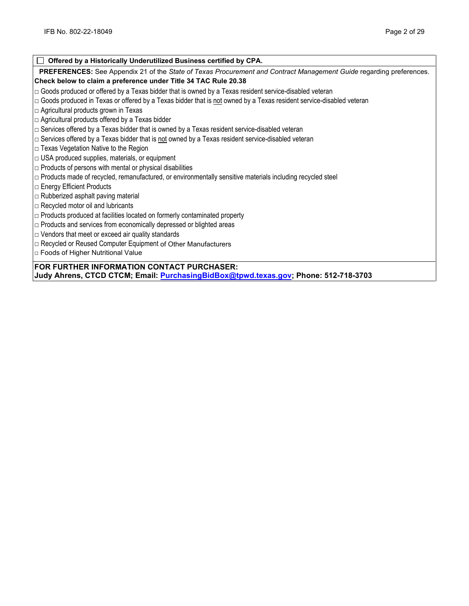| Offered by a Historically Underutilized Business certified by CPA.                                                    |
|-----------------------------------------------------------------------------------------------------------------------|
| PREFERENCES: See Appendix 21 of the State of Texas Procurement and Contract Management Guide regarding preferences.   |
| Check below to claim a preference under Title 34 TAC Rule 20.38                                                       |
| $\Box$ Goods produced or offered by a Texas bidder that is owned by a Texas resident service-disabled veteran         |
| □ Goods produced in Texas or offered by a Texas bidder that is not owned by a Texas resident service-disabled veteran |
| $\Box$ Agricultural products grown in Texas                                                                           |
| $\Box$ Agricultural products offered by a Texas bidder                                                                |
| $\Box$ Services offered by a Texas bidder that is owned by a Texas resident service-disabled veteran                  |
| $\Box$ Services offered by a Texas bidder that is not owned by a Texas resident service-disabled veteran              |
| $\Box$ Texas Vegetation Native to the Region                                                                          |
| $\Box$ USA produced supplies, materials, or equipment                                                                 |
| $\Box$ Products of persons with mental or physical disabilities                                                       |
| □ Products made of recycled, remanufactured, or environmentally sensitive materials including recycled steel          |
| $\Box$ Energy Efficient Products                                                                                      |
| $\Box$ Rubberized asphalt paving material                                                                             |
| $\Box$ Recycled motor oil and lubricants                                                                              |
| $\Box$ Products produced at facilities located on formerly contaminated property                                      |
| $\Box$ Products and services from economically depressed or blighted areas                                            |
| $\Box$ Vendors that meet or exceed air quality standards                                                              |
| □ Recycled or Reused Computer Equipment of Other Manufacturers                                                        |
| □ Foods of Higher Nutritional Value                                                                                   |
| FOR FURTHER INFORMATION CONTACT PURCHASER:                                                                            |
| Judy Ahrens, CTCD CTCM; Email: PurchasingBidBox@tpwd.texas.gov; Phone: 512-718-3703                                   |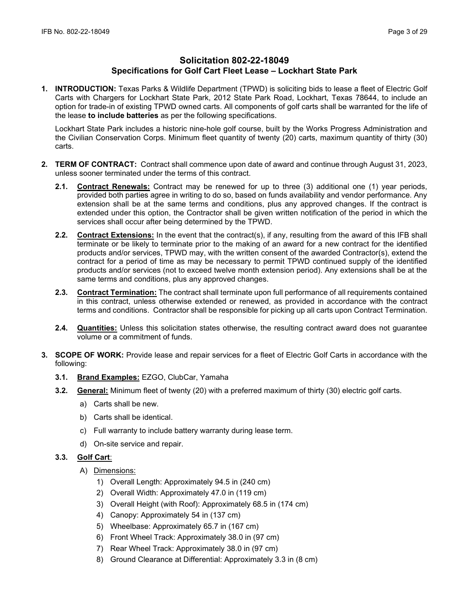# **Solicitation 802-22-18049 Specifications for Golf Cart Fleet Lease – Lockhart State Park**

**1. INTRODUCTION:** Texas Parks & Wildlife Department (TPWD) is soliciting bids to lease a fleet of Electric Golf Carts with Chargers for Lockhart State Park, 2012 State Park Road, Lockhart, Texas 78644, to include an option for trade-in of existing TPWD owned carts. All components of golf carts shall be warranted for the life of the lease **to include batteries** as per the following specifications.

Lockhart State Park includes a historic nine-hole golf course, built by the Works Progress Administration and the Civilian Conservation Corps. Minimum fleet quantity of twenty (20) carts, maximum quantity of thirty (30) carts.

- **2. TERM OF CONTRACT:** Contract shall commence upon date of award and continue through August 31, 2023, unless sooner terminated under the terms of this contract.
	- **2.1. Contract Renewals:** Contract may be renewed for up to three (3) additional one (1) year periods, provided both parties agree in writing to do so, based on funds availability and vendor performance. Any extension shall be at the same terms and conditions, plus any approved changes. If the contract is extended under this option, the Contractor shall be given written notification of the period in which the services shall occur after being determined by the TPWD.
	- **2.2. Contract Extensions:** In the event that the contract(s), if any, resulting from the award of this IFB shall terminate or be likely to terminate prior to the making of an award for a new contract for the identified products and/or services, TPWD may, with the written consent of the awarded Contractor(s), extend the contract for a period of time as may be necessary to permit TPWD continued supply of the identified products and/or services (not to exceed twelve month extension period). Any extensions shall be at the same terms and conditions, plus any approved changes.
	- **2.3. Contract Termination:** The contract shall terminate upon full performance of all requirements contained in this contract, unless otherwise extended or renewed, as provided in accordance with the contract terms and conditions. Contractor shall be responsible for picking up all carts upon Contract Termination.
	- **2.4. Quantities:** Unless this solicitation states otherwise, the resulting contract award does not guarantee volume or a commitment of funds.
- **3. SCOPE OF WORK:** Provide lease and repair services for a fleet of Electric Golf Carts in accordance with the following:
	- **3.1. Brand Examples:** EZGO, ClubCar, Yamaha
	- **3.2. General:** Minimum fleet of twenty (20) with a preferred maximum of thirty (30) electric golf carts.
		- a) Carts shall be new.
		- b) Carts shall be identical.
		- c) Full warranty to include battery warranty during lease term.
		- d) On-site service and repair.

# **3.3. Golf Cart**:

- A) Dimensions:
	- 1) Overall Length: Approximately 94.5 in (240 cm)
	- 2) Overall Width: Approximately 47.0 in (119 cm)
	- 3) Overall Height (with Roof): Approximately 68.5 in (174 cm)
	- 4) Canopy: Approximately 54 in (137 cm)
	- 5) Wheelbase: Approximately 65.7 in (167 cm)
	- 6) Front Wheel Track: Approximately 38.0 in (97 cm)
	- 7) Rear Wheel Track: Approximately 38.0 in (97 cm)
	- 8) Ground Clearance at Differential: Approximately 3.3 in (8 cm)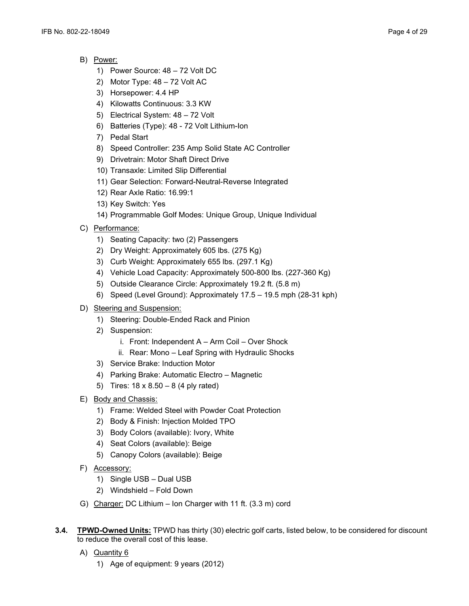- B) Power:
	- 1) Power Source: 48 72 Volt DC
	- 2) Motor Type: 48 72 Volt AC
	- 3) Horsepower: 4.4 HP
	- 4) Kilowatts Continuous: 3.3 KW
	- 5) Electrical System: 48 72 Volt
	- 6) Batteries (Type): 48 72 Volt Lithium-Ion
	- 7) Pedal Start
	- 8) Speed Controller: 235 Amp Solid State AC Controller
	- 9) Drivetrain: Motor Shaft Direct Drive
	- 10) Transaxle: Limited Slip Differential
	- 11) Gear Selection: Forward-Neutral-Reverse Integrated
	- 12) Rear Axle Ratio: 16.99:1
	- 13) Key Switch: Yes
	- 14) Programmable Golf Modes: Unique Group, Unique Individual
- C) Performance:
	- 1) Seating Capacity: two (2) Passengers
	- 2) Dry Weight: Approximately 605 lbs. (275 Kg)
	- 3) Curb Weight: Approximately 655 lbs. (297.1 Kg)
	- 4) Vehicle Load Capacity: Approximately 500-800 lbs. (227-360 Kg)
	- 5) Outside Clearance Circle: Approximately 19.2 ft. (5.8 m)
	- 6) Speed (Level Ground): Approximately 17.5 19.5 mph (28-31 kph)
- D) Steering and Suspension:
	- 1) Steering: Double-Ended Rack and Pinion
	- 2) Suspension:
		- i. Front: Independent A Arm Coil Over Shock
		- ii. Rear: Mono Leaf Spring with Hydraulic Shocks
	- 3) Service Brake: Induction Motor
	- 4) Parking Brake: Automatic Electro Magnetic
	- 5) Tires: 18 x 8.50 8 (4 ply rated)
- E) Body and Chassis:
	- 1) Frame: Welded Steel with Powder Coat Protection
	- 2) Body & Finish: Injection Molded TPO
	- 3) Body Colors (available): Ivory, White
	- 4) Seat Colors (available): Beige
	- 5) Canopy Colors (available): Beige
- F) Accessory:
	- 1) Single USB Dual USB
	- 2) Windshield Fold Down
- G) Charger: DC Lithium Ion Charger with 11 ft. (3.3 m) cord
- **3.4. TPWD-Owned Units:** TPWD has thirty (30) electric golf carts, listed below, to be considered for discount to reduce the overall cost of this lease.
	- A) Quantity 6
		- 1) Age of equipment: 9 years (2012)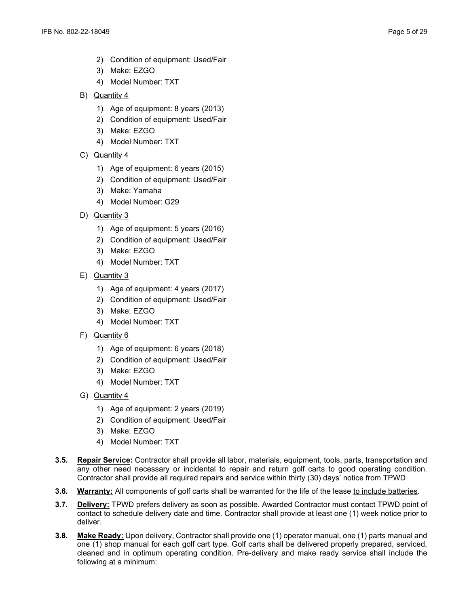- 2) Condition of equipment: Used/Fair
- 3) Make: EZGO
- 4) Model Number: TXT
- B) Quantity 4
	- 1) Age of equipment: 8 years (2013)
	- 2) Condition of equipment: Used/Fair
	- 3) Make: EZGO
	- 4) Model Number: TXT
- C) Quantity 4
	- 1) Age of equipment: 6 years (2015)
	- 2) Condition of equipment: Used/Fair
	- 3) Make: Yamaha
	- 4) Model Number: G29
- D) Quantity 3
	- 1) Age of equipment: 5 years (2016)
	- 2) Condition of equipment: Used/Fair
	- 3) Make: EZGO
	- 4) Model Number: TXT
- E) Quantity 3
	- 1) Age of equipment: 4 years (2017)
	- 2) Condition of equipment: Used/Fair
	- 3) Make: EZGO
	- 4) Model Number: TXT
- F) Quantity 6
	- 1) Age of equipment: 6 years (2018)
	- 2) Condition of equipment: Used/Fair
	- 3) Make: EZGO
	- 4) Model Number: TXT
- G) Quantity 4
	- 1) Age of equipment: 2 years (2019)
	- 2) Condition of equipment: Used/Fair
	- 3) Make: EZGO
	- 4) Model Number: TXT
- **3.5. Repair Service:** Contractor shall provide all labor, materials, equipment, tools, parts, transportation and any other need necessary or incidental to repair and return golf carts to good operating condition. Contractor shall provide all required repairs and service within thirty (30) days' notice from TPWD
- **3.6. Warranty:** All components of golf carts shall be warranted for the life of the lease to include batteries.
- **3.7. Delivery:** TPWD prefers delivery as soon as possible. Awarded Contractor must contact TPWD point of contact to schedule delivery date and time. Contractor shall provide at least one (1) week notice prior to deliver.
- **3.8. Make Ready:** Upon delivery, Contractor shall provide one (1) operator manual, one (1) parts manual and one (1) shop manual for each golf cart type. Golf carts shall be delivered properly prepared, serviced, cleaned and in optimum operating condition. Pre-delivery and make ready service shall include the following at a minimum: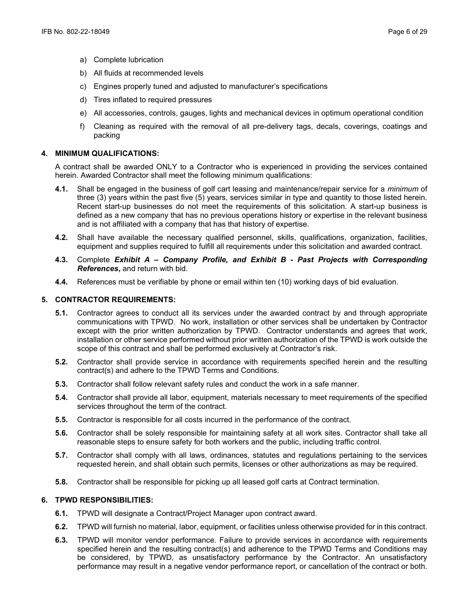- a) Complete lubrication
- b) All fluids at recommended levels
- c) Engines properly tuned and adjusted to manufacturer's specifications
- d) Tires inflated to required pressures
- e) All accessories, controls, gauges, lights and mechanical devices in optimum operational condition
- f) Cleaning as required with the removal of all pre-delivery tags, decals, coverings, coatings and packing

#### **4. MINIMUM QUALIFICATIONS:**

A contract shall be awarded ONLY to a Contractor who is experienced in providing the services contained herein. Awarded Contractor shall meet the following minimum qualifications:

- **4.1.** Shall be engaged in the business of golf cart leasing and maintenance/repair service for a *minimum* of three (3) years within the past five (5) years, services similar in type and quantity to those listed herein. Recent start-up businesses do not meet the requirements of this solicitation. A start-up business is defined as a new company that has no previous operations history or expertise in the relevant business and is not affiliated with a company that has that history of expertise.
- **4.2.** Shall have available the necessary qualified personnel, skills, qualifications, organization, facilities, equipment and supplies required to fulfill all requirements under this solicitation and awarded contract.
- **4.3.** Complete *Exhibit A – Company Profile, and Exhibit B - Past Projects with Corresponding References***,** and return with bid.
- **4.4.** References must be verifiable by phone or email within ten (10) working days of bid evaluation.

### **5. CONTRACTOR REQUIREMENTS:**

- **5.1.** Contractor agrees to conduct all its services under the awarded contract by and through appropriate communications with TPWD. No work, installation or other services shall be undertaken by Contractor except with the prior written authorization by TPWD. Contractor understands and agrees that work, installation or other service performed without prior written authorization of the TPWD is work outside the scope of this contract and shall be performed exclusively at Contractor's risk.
- **5.2.** Contractor shall provide service in accordance with requirements specified herein and the resulting contract(s) and adhere to the TPWD Terms and Conditions.
- **5.3.** Contractor shall follow relevant safety rules and conduct the work in a safe manner.
- **5.4.** Contractor shall provide all labor, equipment, materials necessary to meet requirements of the specified services throughout the term of the contract.
- **5.5.** Contractor is responsible for all costs incurred in the performance of the contract.
- **5.6.** Contractor shall be solely responsible for maintaining safety at all work sites. Contractor shall take all reasonable steps to ensure safety for both workers and the public, including traffic control.
- **5.7.** Contractor shall comply with all laws, ordinances, statutes and regulations pertaining to the services requested herein, and shall obtain such permits, licenses or other authorizations as may be required.
- **5.8.** Contractor shall be responsible for picking up all leased golf carts at Contract termination.

### **6. TPWD RESPONSIBILITIES:**

- **6.1.** TPWD will designate a Contract/Project Manager upon contract award.
- **6.2.** TPWD will furnish no material, labor, equipment, or facilities unless otherwise provided for in this contract.
- **6.3.** TPWD will monitor vendor performance. Failure to provide services in accordance with requirements specified herein and the resulting contract(s) and adherence to the TPWD Terms and Conditions may be considered, by TPWD, as unsatisfactory performance by the Contractor. An unsatisfactory performance may result in a negative vendor performance report, or cancellation of the contract or both.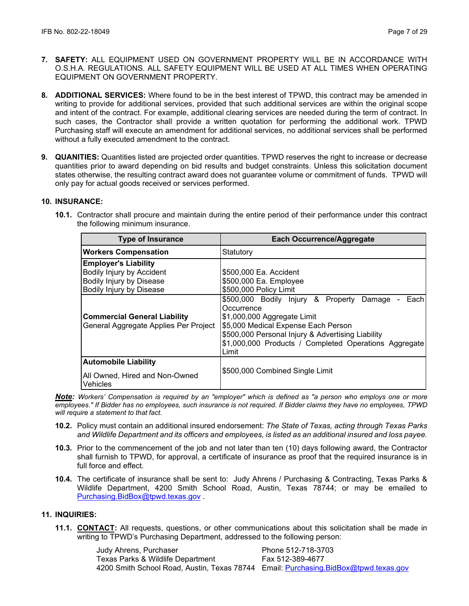- **7. SAFETY:** ALL EQUIPMENT USED ON GOVERNMENT PROPERTY WILL BE IN ACCORDANCE WITH O.S.H.A. REGULATIONS. ALL SAFETY EQUIPMENT WILL BE USED AT ALL TIMES WHEN OPERATING EQUIPMENT ON GOVERNMENT PROPERTY.
- **8. ADDITIONAL SERVICES:** Where found to be in the best interest of TPWD, this contract may be amended in writing to provide for additional services, provided that such additional services are within the original scope and intent of the contract. For example, additional clearing services are needed during the term of contract. In such cases, the Contractor shall provide a written quotation for performing the additional work. TPWD Purchasing staff will execute an amendment for additional services, no additional services shall be performed without a fully executed amendment to the contract.
- **9. QUANITIES:** Quantities listed are projected order quantities. TPWD reserves the right to increase or decrease quantities prior to award depending on bid results and budget constraints. Unless this solicitation document states otherwise, the resulting contract award does not guarantee volume or commitment of funds. TPWD will only pay for actual goods received or services performed.

# **10. INSURANCE:**

**10.1.** Contractor shall procure and maintain during the entire period of their performance under this contract the following minimum insurance.

| <b>Type of Insurance</b>                                                             | <b>Each Occurrence/Aggregate</b>                                                                                                                                                                        |
|--------------------------------------------------------------------------------------|---------------------------------------------------------------------------------------------------------------------------------------------------------------------------------------------------------|
| <b>Workers Compensation</b>                                                          | Statutory                                                                                                                                                                                               |
| <b>Employer's Liability</b><br>Bodily Injury by Accident<br>Bodily Injury by Disease | \$500,000 Ea. Accident<br>\$500,000 Ea. Employee                                                                                                                                                        |
| Bodily Injury by Disease                                                             | \$500,000 Policy Limit<br>\$500,000 Bodily Injury & Property Damage<br>Each                                                                                                                             |
| <b>Commercial General Liability</b><br>General Aggregate Applies Per Project         | Occurrence<br>\$1,000,000 Aggregate Limit<br>\$5,000 Medical Expense Each Person<br>\$500,000 Personal Injury & Advertising Liability<br>\$1,000,000 Products / Completed Operations Aggregate<br>Limit |
| <b>Automobile Liability</b><br>All Owned, Hired and Non-Owned<br>Vehicles            | \$500,000 Combined Single Limit                                                                                                                                                                         |

*Note: Workers' Compensation is required by an "employer" which is defined as "a person who employs one or more employees." If Bidder has no employees, such insurance is not required. If Bidder claims they have no employees, TPWD will require a statement to that fact.*

- **10.2.** Policy must contain an additional insured endorsement: *The State of Texas, acting through Texas Parks and Wildlife Department and its officers and employees, is listed as an additional insured and loss payee.*
- **10.3.** Prior to the commencement of the job and not later than ten (10) days following award, the Contractor shall furnish to TPWD, for approval, a certificate of insurance as proof that the required insurance is in full force and effect.
- **10.4.** The certificate of insurance shall be sent to: Judy Ahrens / Purchasing & Contracting, Texas Parks & Wildlife Department, 4200 Smith School Road, Austin, Texas 78744; or may be emailed to [Purchasing.BidBox@tpwd.texas.gov](mailto:Purchasing.BidBox@tpwd.texas.gov) .

# **11. INQUIRIES:**

**11.1. CONTACT:** All requests, questions, or other communications about this solicitation shall be made in writing to TPWD's Purchasing Department, addressed to the following person:

> Judy Ahrens, Purchaser **Phone 512-718-3703** Texas Parks & Wildlife Department Fax 512-389-4677 4200 Smith School Road, Austin, Texas 78744 Email: [Purchasing.BidBox@tpwd.texas.gov](mailto:Purchasing.BidBox@tpwd.texas.gov)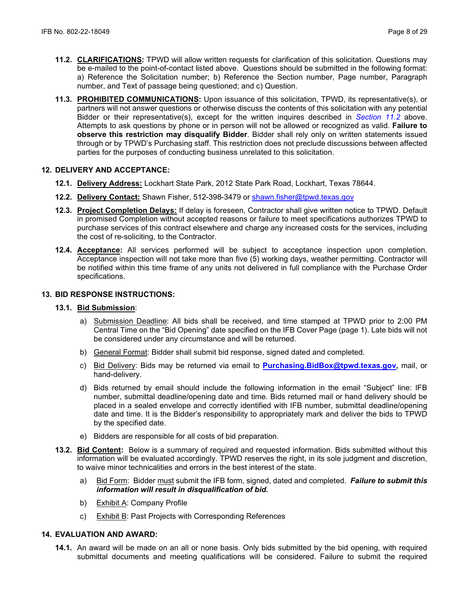- **11.2. CLARIFICATIONS:** TPWD will allow written requests for clarification of this solicitation. Questions may be e-mailed to the point-of-contact listed above. Questions should be submitted in the following format: a) Reference the Solicitation number; b) Reference the Section number, Page number, Paragraph number, and Text of passage being questioned; and c) Question.
- **11.3. PROHIBITED COMMUNICATIONS:** Upon issuance of this solicitation, TPWD, its representative(s), or partners will not answer questions or otherwise discuss the contents of this solicitation with any potential Bidder or their representative(s), except for the written inquires described in *Section 11.2* above. Attempts to ask questions by phone or in person will not be allowed or recognized as valid. **Failure to observe this restriction may disqualify Bidder**. Bidder shall rely only on written statements issued through or by TPWD's Purchasing staff. This restriction does not preclude discussions between affected parties for the purposes of conducting business unrelated to this solicitation.

# **12. DELIVERY AND ACCEPTANCE:**

- **12.1. Delivery Address:** Lockhart State Park, 2012 State Park Road, Lockhart, Texas 78644.
- **12.2. Delivery Contact:** Shawn Fisher, 512-398-3479 or [shawn.fisher@tpwd.texas.gov](mailto:shawn.fisher@tpwd.texas.gov)
- **12.3. Project Completion Delays:** If delay is foreseen, Contractor shall give written notice to TPWD. Default in promised Completion without accepted reasons or failure to meet specifications authorizes TPWD to purchase services of this contract elsewhere and charge any increased costs for the services, including the cost of re-soliciting, to the Contractor.
- **12.4. Acceptance:** All services performed will be subject to acceptance inspection upon completion. Acceptance inspection will not take more than five (5) working days, weather permitting. Contractor will be notified within this time frame of any units not delivered in full compliance with the Purchase Order specifications.

# **13. BID RESPONSE INSTRUCTIONS:**

### **13.1. Bid Submission**:

- a) Submission Deadline: All bids shall be received, and time stamped at TPWD prior to 2:00 PM Central Time on the "Bid Opening" date specified on the IFB Cover Page (page 1). Late bids will not be considered under any circumstance and will be returned.
- b) General Format: Bidder shall submit bid response, signed dated and completed.
- c) Bid Delivery: Bids may be returned via email to **[Purchasing.BidBox@tpwd.texas.gov,](mailto:Purchasing.BidBox@tpwd.texas.gov)** mail, or hand-delivery.
- d) Bids returned by email should include the following information in the email "Subject" line: IFB number, submittal deadline/opening date and time. Bids returned mail or hand delivery should be placed in a sealed envelope and correctly identified with IFB number, submittal deadline/opening date and time. It is the Bidder's responsibility to appropriately mark and deliver the bids to TPWD by the specified date.
- e) Bidders are responsible for all costs of bid preparation.
- **13.2. Bid Content:** Below is a summary of required and requested information. Bids submitted without this information will be evaluated accordingly. TPWD reserves the right, in its sole judgment and discretion, to waive minor technicalities and errors in the best interest of the state.
	- a) Bid Form: Bidder must submit the IFB form, signed, dated and completed. *Failure to submit this information will result in disqualification of bid.*
	- b) Exhibit A: Company Profile
	- c) Exhibit B: Past Projects with Corresponding References

# **14. EVALUATION AND AWARD:**

**14.1.** An award will be made on an all or none basis. Only bids submitted by the bid opening, with required submittal documents and meeting qualifications will be considered. Failure to submit the required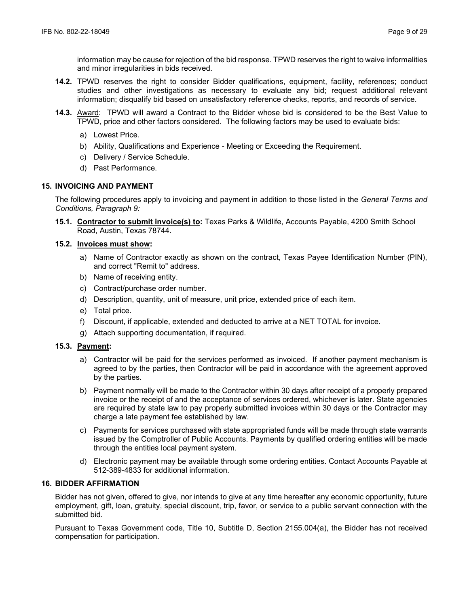information may be cause for rejection of the bid response. TPWD reserves the right to waive informalities and minor irregularities in bids received.

- **14.2.** TPWD reserves the right to consider Bidder qualifications, equipment, facility, references; conduct studies and other investigations as necessary to evaluate any bid; request additional relevant information; disqualify bid based on unsatisfactory reference checks, reports, and records of service.
- **14.3.** Award: TPWD will award a Contract to the Bidder whose bid is considered to be the Best Value to TPWD, price and other factors considered. The following factors may be used to evaluate bids:
	- a) Lowest Price.
	- b) Ability, Qualifications and Experience Meeting or Exceeding the Requirement.
	- c) Delivery / Service Schedule.
	- d) Past Performance.

# **15. INVOICING AND PAYMENT**

The following procedures apply to invoicing and payment in addition to those listed in the *General Terms and Conditions, Paragraph 9:*

**15.1. Contractor to submit invoice(s) to:** Texas Parks & Wildlife, Accounts Payable, 4200 Smith School Road, Austin, Texas 78744.

# **15.2. Invoices must show:**

- a) Name of Contractor exactly as shown on the contract, Texas Payee Identification Number (PIN), and correct "Remit to" address.
- b) Name of receiving entity.
- c) Contract/purchase order number.
- d) Description, quantity, unit of measure, unit price, extended price of each item.
- e) Total price.
- f) Discount, if applicable, extended and deducted to arrive at a NET TOTAL for invoice.
- g) Attach supporting documentation, if required.

### **15.3. Payment:**

- a) Contractor will be paid for the services performed as invoiced. If another payment mechanism is agreed to by the parties, then Contractor will be paid in accordance with the agreement approved by the parties.
- b) Payment normally will be made to the Contractor within 30 days after receipt of a properly prepared invoice or the receipt of and the acceptance of services ordered, whichever is later. State agencies are required by state law to pay properly submitted invoices within 30 days or the Contractor may charge a late payment fee established by law.
- c) Payments for services purchased with state appropriated funds will be made through state warrants issued by the Comptroller of Public Accounts. Payments by qualified ordering entities will be made through the entities local payment system.
- d) Electronic payment may be available through some ordering entities. Contact Accounts Payable at 512-389-4833 for additional information.

## **16. BIDDER AFFIRMATION**

Bidder has not given, offered to give, nor intends to give at any time hereafter any economic opportunity, future employment, gift, loan, gratuity, special discount, trip, favor, or service to a public servant connection with the submitted bid.

Pursuant to Texas Government code, Title 10, Subtitle D, Section 2155.004(a), the Bidder has not received compensation for participation.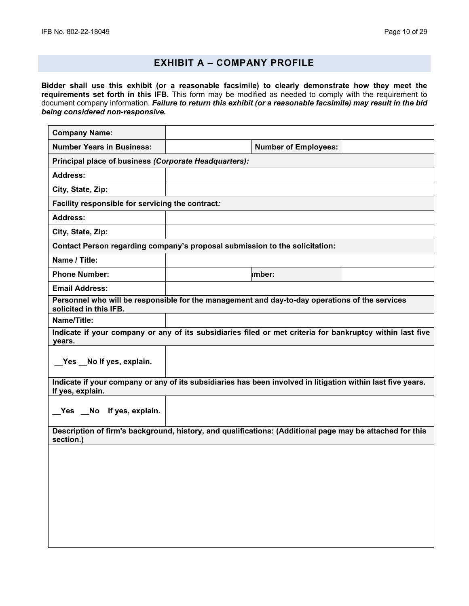# **EXHIBIT A – COMPANY PROFILE**

**Bidder shall use this exhibit (or a reasonable facsimile) to clearly demonstrate how they meet the requirements set forth in this IFB.** This form may be modified as needed to comply with the requirement to document company information. *Failure to return this exhibit (or a reasonable facsimile) may result in the bid being considered non-responsive.*

| <b>Company Name:</b>                                                                                                            |                                                                                                           |  |  |  |
|---------------------------------------------------------------------------------------------------------------------------------|-----------------------------------------------------------------------------------------------------------|--|--|--|
| <b>Number Years in Business:</b>                                                                                                | <b>Number of Employees:</b>                                                                               |  |  |  |
| Principal place of business (Corporate Headquarters):                                                                           |                                                                                                           |  |  |  |
| <b>Address:</b>                                                                                                                 |                                                                                                           |  |  |  |
| City, State, Zip:                                                                                                               |                                                                                                           |  |  |  |
|                                                                                                                                 | Facility responsible for servicing the contract:                                                          |  |  |  |
| <b>Address:</b>                                                                                                                 |                                                                                                           |  |  |  |
| City, State, Zip:                                                                                                               |                                                                                                           |  |  |  |
|                                                                                                                                 | Contact Person regarding company's proposal submission to the solicitation:                               |  |  |  |
| Name / Title:                                                                                                                   |                                                                                                           |  |  |  |
| <b>Phone Number:</b>                                                                                                            | imber:                                                                                                    |  |  |  |
| <b>Email Address:</b>                                                                                                           |                                                                                                           |  |  |  |
| solicited in this IFB.                                                                                                          | Personnel who will be responsible for the management and day-to-day operations of the services            |  |  |  |
| Name/Title:                                                                                                                     |                                                                                                           |  |  |  |
| years.                                                                                                                          | Indicate if your company or any of its subsidiaries filed or met criteria for bankruptcy within last five |  |  |  |
| _Yes _No If yes, explain.                                                                                                       |                                                                                                           |  |  |  |
| Indicate if your company or any of its subsidiaries has been involved in litigation within last five years.<br>If yes, explain. |                                                                                                           |  |  |  |
| Yes No If yes, explain.                                                                                                         |                                                                                                           |  |  |  |
| Description of firm's background, history, and qualifications: (Additional page may be attached for this<br>section.)           |                                                                                                           |  |  |  |
|                                                                                                                                 |                                                                                                           |  |  |  |
|                                                                                                                                 |                                                                                                           |  |  |  |
|                                                                                                                                 |                                                                                                           |  |  |  |
|                                                                                                                                 |                                                                                                           |  |  |  |
|                                                                                                                                 |                                                                                                           |  |  |  |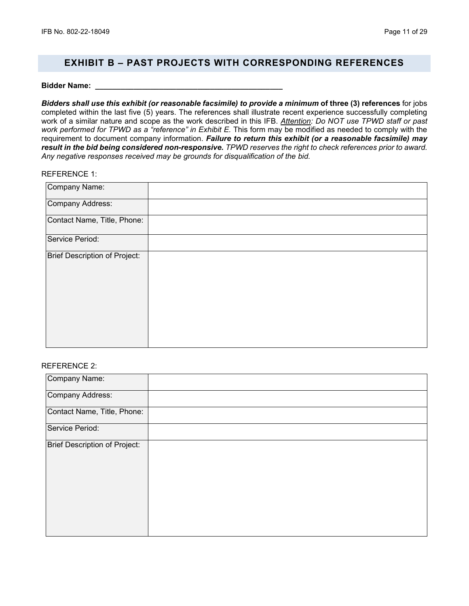# **EXHIBIT B – PAST PROJECTS WITH CORRESPONDING REFERENCES**

#### **Bidder Name: \_\_\_\_\_\_\_\_\_\_\_\_\_\_\_\_\_\_\_\_\_\_\_\_\_\_\_\_\_\_\_\_\_\_\_\_\_\_\_\_\_\_\_\_**

*Bidders shall use this exhibit (or reasonable facsimile) to provide a minimum* **of three (3) references** for jobs completed within the last five (5) years. The references shall illustrate recent experience successfully completing work of a similar nature and scope as the work described in this IFB. *Attention: Do NOT use TPWD staff or past*  work performed for TPWD as a "reference" in Exhibit E. This form may be modified as needed to comply with the requirement to document company information. *Failure to return this exhibit (or a reasonable facsimile) may result in the bid being considered non-responsive. TPWD reserves the right to check references prior to award. Any negative responses received may be grounds for disqualification of the bid.* 

### REFERENCE 1:

| Company Name:                 |  |
|-------------------------------|--|
| Company Address:              |  |
| Contact Name, Title, Phone:   |  |
| Service Period:               |  |
| Brief Description of Project: |  |

### REFERENCE 2:

| Company Name:                 |  |
|-------------------------------|--|
| Company Address:              |  |
| Contact Name, Title, Phone:   |  |
| Service Period:               |  |
| Brief Description of Project: |  |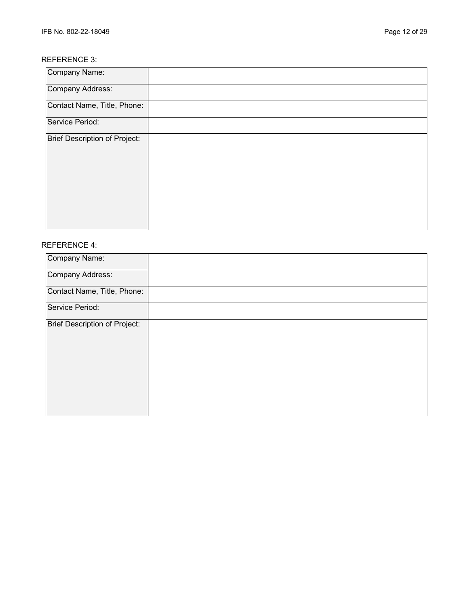# REFERENCE 3:

| Company Name:                 |  |
|-------------------------------|--|
| Company Address:              |  |
| Contact Name, Title, Phone:   |  |
| Service Period:               |  |
| Brief Description of Project: |  |

# REFERENCE 4:

| Company Name:                 |  |
|-------------------------------|--|
| Company Address:              |  |
| Contact Name, Title, Phone:   |  |
| Service Period:               |  |
| Brief Description of Project: |  |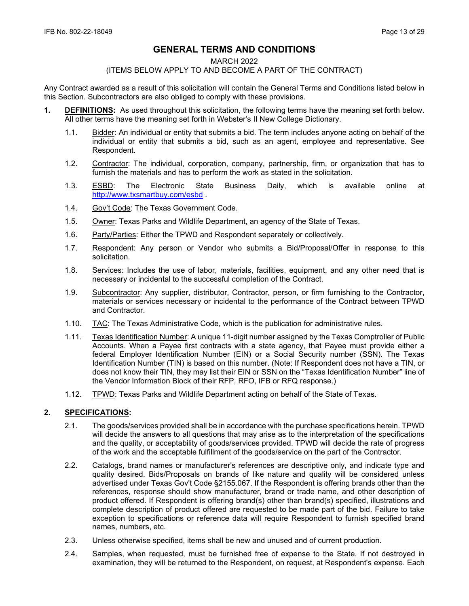# **GENERAL TERMS AND CONDITIONS**

#### MARCH 2022

### (ITEMS BELOW APPLY TO AND BECOME A PART OF THE CONTRACT)

Any Contract awarded as a result of this solicitation will contain the General Terms and Conditions listed below in this Section. Subcontractors are also obliged to comply with these provisions.

- **1. DEFINITIONS:** As used throughout this solicitation, the following terms have the meaning set forth below. All other terms have the meaning set forth in Webster's II New College Dictionary.
	- 1.1. Bidder: An individual or entity that submits a bid. The term includes anyone acting on behalf of the individual or entity that submits a bid, such as an agent, employee and representative. See Respondent.
	- 1.2. Contractor: The individual, corporation, company, partnership, firm, or organization that has to furnish the materials and has to perform the work as stated in the solicitation.
	- 1.3. ESBD: The Electronic State Business Daily, which is available online at <http://www.txsmartbuy.com/esbd>.
	- 1.4. Gov't Code: The Texas Government Code.
	- 1.5. Owner: Texas Parks and Wildlife Department, an agency of the State of Texas.
	- 1.6. Party/Parties: Either the TPWD and Respondent separately or collectively.
	- 1.7. Respondent: Any person or Vendor who submits a Bid/Proposal/Offer in response to this solicitation.
	- 1.8. Services: Includes the use of labor, materials, facilities, equipment, and any other need that is necessary or incidental to the successful completion of the Contract.
	- 1.9. Subcontractor: Any supplier, distributor, Contractor, person, or firm furnishing to the Contractor, materials or services necessary or incidental to the performance of the Contract between TPWD and Contractor.
	- 1.10. TAC: The Texas Administrative Code, which is the publication for administrative rules.
	- 1.11. Texas Identification Number: A unique 11-digit number assigned by the Texas Comptroller of Public Accounts. When a Payee first contracts with a state agency, that Payee must provide either a federal Employer Identification Number (EIN) or a Social Security number (SSN). The Texas Identification Number (TIN) is based on this number. (Note: If Respondent does not have a TIN, or does not know their TIN, they may list their EIN or SSN on the "Texas Identification Number" line of the Vendor Information Block of their RFP, RFO, IFB or RFQ response.)
	- 1.12. TPWD: Texas Parks and Wildlife Department acting on behalf of the State of Texas.

# **2. SPECIFICATIONS:**

- 2.1. The goods/services provided shall be in accordance with the purchase specifications herein. TPWD will decide the answers to all questions that may arise as to the interpretation of the specifications and the quality, or acceptability of goods/services provided. TPWD will decide the rate of progress of the work and the acceptable fulfillment of the goods/service on the part of the Contractor.
- 2.2. Catalogs, brand names or manufacturer's references are descriptive only, and indicate type and quality desired. Bids/Proposals on brands of like nature and quality will be considered unless advertised under Texas Gov't Code §2155.067. If the Respondent is offering brands other than the references, response should show manufacturer, brand or trade name, and other description of product offered. If Respondent is offering brand(s) other than brand(s) specified, illustrations and complete description of product offered are requested to be made part of the bid. Failure to take exception to specifications or reference data will require Respondent to furnish specified brand names, numbers, etc.
- 2.3. Unless otherwise specified, items shall be new and unused and of current production.
- 2.4. Samples, when requested, must be furnished free of expense to the State. If not destroyed in examination, they will be returned to the Respondent, on request, at Respondent's expense. Each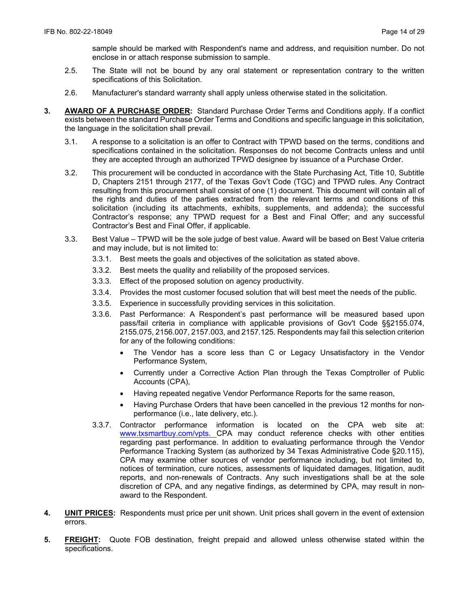sample should be marked with Respondent's name and address, and requisition number. Do not enclose in or attach response submission to sample.

- 2.5. The State will not be bound by any oral statement or representation contrary to the written specifications of this Solicitation.
- 2.6. Manufacturer's standard warranty shall apply unless otherwise stated in the solicitation.
- **3. AWARD OF A PURCHASE ORDER:** Standard Purchase Order Terms and Conditions apply. If a conflict exists between the standard Purchase Order Terms and Conditions and specific language in this solicitation, the language in the solicitation shall prevail.
	- 3.1. A response to a solicitation is an offer to Contract with TPWD based on the terms, conditions and specifications contained in the solicitation. Responses do not become Contracts unless and until they are accepted through an authorized TPWD designee by issuance of a Purchase Order.
	- 3.2. This procurement will be conducted in accordance with the State Purchasing Act, Title 10, Subtitle D, Chapters 2151 through 2177, of the Texas Gov't Code (TGC) and TPWD rules. Any Contract resulting from this procurement shall consist of one (1) document. This document will contain all of the rights and duties of the parties extracted from the relevant terms and conditions of this solicitation (including its attachments, exhibits, supplements, and addenda); the successful Contractor's response; any TPWD request for a Best and Final Offer; and any successful Contractor's Best and Final Offer, if applicable.
	- 3.3. Best Value TPWD will be the sole judge of best value. Award will be based on Best Value criteria and may include, but is not limited to:
		- 3.3.1. Best meets the goals and objectives of the solicitation as stated above.
		- 3.3.2. Best meets the quality and reliability of the proposed services.
		- 3.3.3. Effect of the proposed solution on agency productivity.
		- 3.3.4. Provides the most customer focused solution that will best meet the needs of the public.
		- 3.3.5. Experience in successfully providing services in this solicitation.
		- 3.3.6. Past Performance: A Respondent's past performance will be measured based upon pass/fail criteria in compliance with applicable provisions of Gov't Code §§2155.074, 2155.075, 2156.007, 2157.003, and 2157.125. Respondents may fail this selection criterion for any of the following conditions:
			- The Vendor has a score less than C or Legacy Unsatisfactory in the Vendor Performance System,
			- Currently under a Corrective Action Plan through the Texas Comptroller of Public Accounts (CPA),
			- Having repeated negative Vendor Performance Reports for the same reason,
			- Having Purchase Orders that have been cancelled in the previous 12 months for nonperformance (i.e., late delivery, etc.).
		- 3.3.7. Contractor performance information is located on the CPA web site at: [www.txsmartbuy.com/vpts.](http://www.txsmartbuy.com/vpts) CPA may conduct reference checks with other entities regarding past performance. In addition to evaluating performance through the Vendor Performance Tracking System (as authorized by 34 Texas Administrative Code §20.115), CPA may examine other sources of vendor performance including, but not limited to, notices of termination, cure notices, assessments of liquidated damages, litigation, audit reports, and non-renewals of Contracts. Any such investigations shall be at the sole discretion of CPA, and any negative findings, as determined by CPA, may result in nonaward to the Respondent.
- **4. UNIT PRICES:** Respondents must price per unit shown. Unit prices shall govern in the event of extension errors.
- **5. FREIGHT:** Quote FOB destination, freight prepaid and allowed unless otherwise stated within the specifications.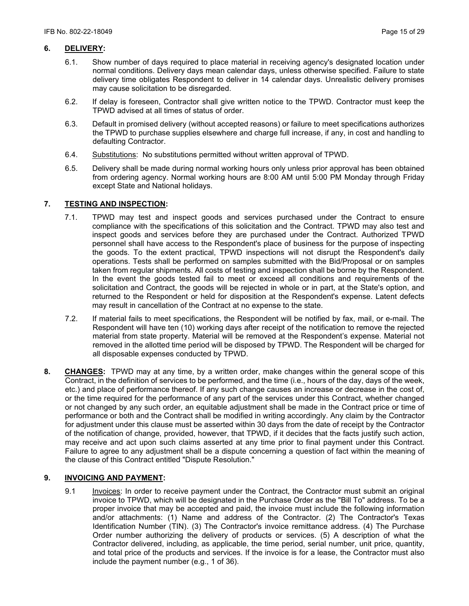# **6. DELIVERY:**

- 6.1. Show number of days required to place material in receiving agency's designated location under normal conditions. Delivery days mean calendar days, unless otherwise specified. Failure to state delivery time obligates Respondent to deliver in 14 calendar days. Unrealistic delivery promises may cause solicitation to be disregarded.
- 6.2. If delay is foreseen, Contractor shall give written notice to the TPWD. Contractor must keep the TPWD advised at all times of status of order.
- 6.3. Default in promised delivery (without accepted reasons) or failure to meet specifications authorizes the TPWD to purchase supplies elsewhere and charge full increase, if any, in cost and handling to defaulting Contractor.
- 6.4. Substitutions: No substitutions permitted without written approval of TPWD.
- 6.5. Delivery shall be made during normal working hours only unless prior approval has been obtained from ordering agency. Normal working hours are 8:00 AM until 5:00 PM Monday through Friday except State and National holidays.

### **7. TESTING AND INSPECTION:**

- 7.1. TPWD may test and inspect goods and services purchased under the Contract to ensure compliance with the specifications of this solicitation and the Contract. TPWD may also test and inspect goods and services before they are purchased under the Contract. Authorized TPWD personnel shall have access to the Respondent's place of business for the purpose of inspecting the goods. To the extent practical, TPWD inspections will not disrupt the Respondent's daily operations. Tests shall be performed on samples submitted with the Bid/Proposal or on samples taken from regular shipments. All costs of testing and inspection shall be borne by the Respondent. In the event the goods tested fail to meet or exceed all conditions and requirements of the solicitation and Contract, the goods will be rejected in whole or in part, at the State's option, and returned to the Respondent or held for disposition at the Respondent's expense. Latent defects may result in cancellation of the Contract at no expense to the state.
- 7.2. If material fails to meet specifications, the Respondent will be notified by fax, mail, or e-mail. The Respondent will have ten (10) working days after receipt of the notification to remove the rejected material from state property. Material will be removed at the Respondent's expense. Material not removed in the allotted time period will be disposed by TPWD. The Respondent will be charged for all disposable expenses conducted by TPWD.
- **8. CHANGES:** TPWD may at any time, by a written order, make changes within the general scope of this Contract, in the definition of services to be performed, and the time (i.e., hours of the day, days of the week, etc.) and place of performance thereof. If any such change causes an increase or decrease in the cost of, or the time required for the performance of any part of the services under this Contract, whether changed or not changed by any such order, an equitable adjustment shall be made in the Contract price or time of performance or both and the Contract shall be modified in writing accordingly. Any claim by the Contractor for adjustment under this clause must be asserted within 30 days from the date of receipt by the Contractor of the notification of change, provided, however, that TPWD, if it decides that the facts justify such action, may receive and act upon such claims asserted at any time prior to final payment under this Contract. Failure to agree to any adjustment shall be a dispute concerning a question of fact within the meaning of the clause of this Contract entitled "Dispute Resolution."

# **9. INVOICING AND PAYMENT:**

9.1 Invoices: In order to receive payment under the Contract, the Contractor must submit an original invoice to TPWD, which will be designated in the Purchase Order as the "Bill To" address. To be a proper invoice that may be accepted and paid, the invoice must include the following information and/or attachments: (1) Name and address of the Contractor. (2) The Contractor's Texas Identification Number (TIN). (3) The Contractor's invoice remittance address. (4) The Purchase Order number authorizing the delivery of products or services. (5) A description of what the Contractor delivered, including, as applicable, the time period, serial number, unit price, quantity, and total price of the products and services. If the invoice is for a lease, the Contractor must also include the payment number (e.g., 1 of 36).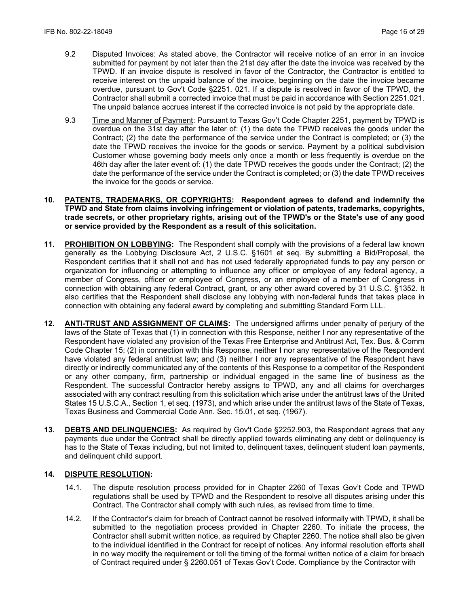- 9.2 Disputed Invoices: As stated above, the Contractor will receive notice of an error in an invoice submitted for payment by not later than the 21st day after the date the invoice was received by the TPWD. If an invoice dispute is resolved in favor of the Contractor, the Contractor is entitled to receive interest on the unpaid balance of the invoice, beginning on the date the invoice became overdue, pursuant to Gov't Code §2251. 021. If a dispute is resolved in favor of the TPWD, the Contractor shall submit a corrected invoice that must be paid in accordance with Section 2251.021. The unpaid balance accrues interest if the corrected invoice is not paid by the appropriate date.
- 9.3 Time and Manner of Payment: Pursuant to Texas Gov't Code Chapter 2251, payment by TPWD is overdue on the 31st day after the later of: (1) the date the TPWD receives the goods under the Contract; (2) the date the performance of the service under the Contract is completed; or (3) the date the TPWD receives the invoice for the goods or service. Payment by a political subdivision Customer whose governing body meets only once a month or less frequently is overdue on the 46th day after the later event of: (1) the date TPWD receives the goods under the Contract; (2) the date the performance of the service under the Contract is completed; or (3) the date TPWD receives the invoice for the goods or service.
- **10. PATENTS, TRADEMARKS, OR COPYRIGHTS: Respondent agrees to defend and indemnify the TPWD and State from claims involving infringement or violation of patents, trademarks, copyrights, trade secrets, or other proprietary rights, arising out of the TPWD's or the State's use of any good or service provided by the Respondent as a result of this solicitation.**
- **11. PROHIBITION ON LOBBYING:** The Respondent shall comply with the provisions of a federal law known generally as the Lobbying Disclosure Act, 2 U.S.C. §1601 et seq. By submitting a Bid/Proposal, the Respondent certifies that it shall not and has not used federally appropriated funds to pay any person or organization for influencing or attempting to influence any officer or employee of any federal agency, a member of Congress, officer or employee of Congress, or an employee of a member of Congress in connection with obtaining any federal Contract, grant, or any other award covered by 31 U.S.C. §1352. It also certifies that the Respondent shall disclose any lobbying with non-federal funds that takes place in connection with obtaining any federal award by completing and submitting Standard Form LLL.
- **12. ANTI-TRUST AND ASSIGNMENT OF CLAIMS:** The undersigned affirms under penalty of perjury of the laws of the State of Texas that (1) in connection with this Response, neither I nor any representative of the Respondent have violated any provision of the Texas Free Enterprise and Antitrust Act, Tex. Bus. & Comm Code Chapter 15; (2) in connection with this Response, neither I nor any representative of the Respondent have violated any federal antitrust law; and (3) neither I nor any representative of the Respondent have directly or indirectly communicated any of the contents of this Response to a competitor of the Respondent or any other company, firm, partnership or individual engaged in the same line of business as the Respondent. The successful Contractor hereby assigns to TPWD, any and all claims for overcharges associated with any contract resulting from this solicitation which arise under the antitrust laws of the United States 15 U.S.C.A., Section 1, et seq. (1973), and which arise under the antitrust laws of the State of Texas, Texas Business and Commercial Code Ann. Sec. 15.01, et seq. (1967).
- **13. DEBTS AND DELINQUENCIES:** As required by Gov't Code §2252.903, the Respondent agrees that any payments due under the Contract shall be directly applied towards eliminating any debt or delinquency is has to the State of Texas including, but not limited to, delinquent taxes, delinquent student loan payments, and delinquent child support.

### **14. DISPUTE RESOLUTION:**

- 14.1. The dispute resolution process provided for in Chapter 2260 of Texas Gov't Code and TPWD regulations shall be used by TPWD and the Respondent to resolve all disputes arising under this Contract. The Contractor shall comply with such rules, as revised from time to time.
- 14.2. If the Contractor's claim for breach of Contract cannot be resolved informally with TPWD, it shall be submitted to the negotiation process provided in Chapter 2260. To initiate the process, the Contractor shall submit written notice, as required by Chapter 2260. The notice shall also be given to the individual identified in the Contract for receipt of notices. Any informal resolution efforts shall in no way modify the requirement or toll the timing of the formal written notice of a claim for breach of Contract required under § 2260.051 of Texas Gov't Code. Compliance by the Contractor with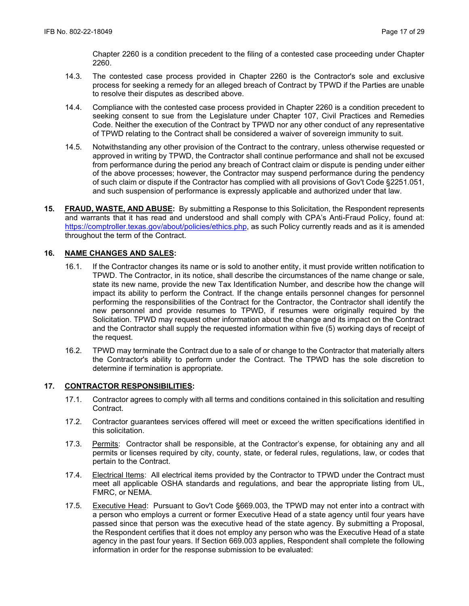Chapter 2260 is a condition precedent to the filing of a contested case proceeding under Chapter 2260.

- 14.3. The contested case process provided in Chapter 2260 is the Contractor's sole and exclusive process for seeking a remedy for an alleged breach of Contract by TPWD if the Parties are unable to resolve their disputes as described above.
- 14.4. Compliance with the contested case process provided in Chapter 2260 is a condition precedent to seeking consent to sue from the Legislature under Chapter 107, Civil Practices and Remedies Code. Neither the execution of the Contract by TPWD nor any other conduct of any representative of TPWD relating to the Contract shall be considered a waiver of sovereign immunity to suit.
- 14.5. Notwithstanding any other provision of the Contract to the contrary, unless otherwise requested or approved in writing by TPWD, the Contractor shall continue performance and shall not be excused from performance during the period any breach of Contract claim or dispute is pending under either of the above processes; however, the Contractor may suspend performance during the pendency of such claim or dispute if the Contractor has complied with all provisions of Gov't Code §2251.051, and such suspension of performance is expressly applicable and authorized under that law.
- **15. FRAUD, WASTE, AND ABUSE:** By submitting a Response to this Solicitation, the Respondent represents and warrants that it has read and understood and shall comply with CPA's Anti-Fraud Policy, found at: https://comptroller.texas.gov/about/policies/ethics.php, as such Policy currently reads and as it is amended throughout the term of the Contract.

# **16. NAME CHANGES AND SALES:**

- 16.1. If the Contractor changes its name or is sold to another entity, it must provide written notification to TPWD. The Contractor, in its notice, shall describe the circumstances of the name change or sale, state its new name, provide the new Tax Identification Number, and describe how the change will impact its ability to perform the Contract. If the change entails personnel changes for personnel performing the responsibilities of the Contract for the Contractor, the Contractor shall identify the new personnel and provide resumes to TPWD, if resumes were originally required by the Solicitation. TPWD may request other information about the change and its impact on the Contract and the Contractor shall supply the requested information within five (5) working days of receipt of the request.
- 16.2. TPWD may terminate the Contract due to a sale of or change to the Contractor that materially alters the Contractor's ability to perform under the Contract. The TPWD has the sole discretion to determine if termination is appropriate.

#### **17. CONTRACTOR RESPONSIBILITIES:**

- 17.1. Contractor agrees to comply with all terms and conditions contained in this solicitation and resulting Contract.
- 17.2. Contractor guarantees services offered will meet or exceed the written specifications identified in this solicitation.
- 17.3. Permits: Contractor shall be responsible, at the Contractor's expense, for obtaining any and all permits or licenses required by city, county, state, or federal rules, regulations, law, or codes that pertain to the Contract.
- 17.4. Electrical Items: All electrical items provided by the Contractor to TPWD under the Contract must meet all applicable OSHA standards and regulations, and bear the appropriate listing from UL, FMRC, or NEMA.
- 17.5. Executive Head: Pursuant to Gov't Code §669.003, the TPWD may not enter into a contract with a person who employs a current or former Executive Head of a state agency until four years have passed since that person was the executive head of the state agency. By submitting a Proposal, the Respondent certifies that it does not employ any person who was the Executive Head of a state agency in the past four years. If Section 669.003 applies, Respondent shall complete the following information in order for the response submission to be evaluated: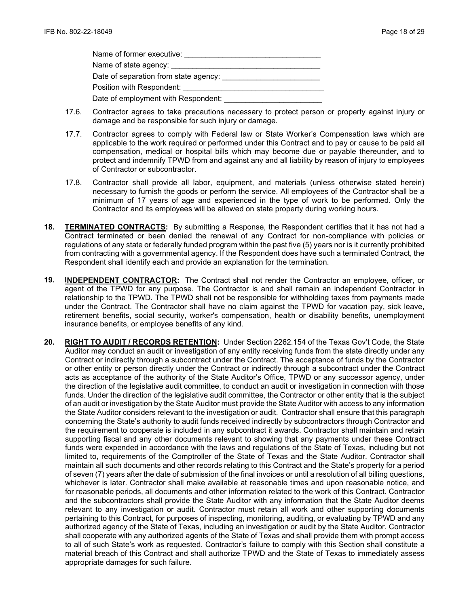| Name of former executive:           |
|-------------------------------------|
| Name of state agency: ___________   |
|                                     |
| Position with Respondent:           |
| Date of employment with Respondent: |

- 17.6. Contractor agrees to take precautions necessary to protect person or property against injury or damage and be responsible for such injury or damage.
- 17.7. Contractor agrees to comply with Federal law or State Worker's Compensation laws which are applicable to the work required or performed under this Contract and to pay or cause to be paid all compensation, medical or hospital bills which may become due or payable thereunder, and to protect and indemnify TPWD from and against any and all liability by reason of injury to employees of Contractor or subcontractor.
- 17.8. Contractor shall provide all labor, equipment, and materials (unless otherwise stated herein) necessary to furnish the goods or perform the service. All employees of the Contractor shall be a minimum of 17 years of age and experienced in the type of work to be performed. Only the Contractor and its employees will be allowed on state property during working hours.
- **18. TERMINATED CONTRACTS:** By submitting a Response, the Respondent certifies that it has not had a Contract terminated or been denied the renewal of any Contract for non-compliance with policies or regulations of any state or federally funded program within the past five (5) years nor is it currently prohibited from contracting with a governmental agency. If the Respondent does have such a terminated Contract, the Respondent shall identify each and provide an explanation for the termination.
- **19. INDEPENDENT CONTRACTOR:** The Contract shall not render the Contractor an employee, officer, or agent of the TPWD for any purpose. The Contractor is and shall remain an independent Contractor in relationship to the TPWD. The TPWD shall not be responsible for withholding taxes from payments made under the Contract. The Contractor shall have no claim against the TPWD for vacation pay, sick leave, retirement benefits, social security, worker's compensation, health or disability benefits, unemployment insurance benefits, or employee benefits of any kind.
- **20. RIGHT TO AUDIT / RECORDS RETENTION:** Under Section 2262.154 of the Texas Gov't Code, the State Auditor may conduct an audit or investigation of any entity receiving funds from the state directly under any Contract or indirectly through a subcontract under the Contract. The acceptance of funds by the Contractor or other entity or person directly under the Contract or indirectly through a subcontract under the Contract acts as acceptance of the authority of the State Auditor's Office, TPWD or any successor agency, under the direction of the legislative audit committee, to conduct an audit or investigation in connection with those funds. Under the direction of the legislative audit committee, the Contractor or other entity that is the subject of an audit or investigation by the State Auditor must provide the State Auditor with access to any information the State Auditor considers relevant to the investigation or audit. Contractor shall ensure that this paragraph concerning the State's authority to audit funds received indirectly by subcontractors through Contractor and the requirement to cooperate is included in any subcontract it awards. Contractor shall maintain and retain supporting fiscal and any other documents relevant to showing that any payments under these Contract funds were expended in accordance with the laws and regulations of the State of Texas, including but not limited to, requirements of the Comptroller of the State of Texas and the State Auditor. Contractor shall maintain all such documents and other records relating to this Contract and the State's property for a period of seven (7) years after the date of submission of the final invoices or until a resolution of all billing questions, whichever is later. Contractor shall make available at reasonable times and upon reasonable notice, and for reasonable periods, all documents and other information related to the work of this Contract. Contractor and the subcontractors shall provide the State Auditor with any information that the State Auditor deems relevant to any investigation or audit. Contractor must retain all work and other supporting documents pertaining to this Contract, for purposes of inspecting, monitoring, auditing, or evaluating by TPWD and any authorized agency of the State of Texas, including an investigation or audit by the State Auditor. Contractor shall cooperate with any authorized agents of the State of Texas and shall provide them with prompt access to all of such State's work as requested. Contractor's failure to comply with this Section shall constitute a material breach of this Contract and shall authorize TPWD and the State of Texas to immediately assess appropriate damages for such failure.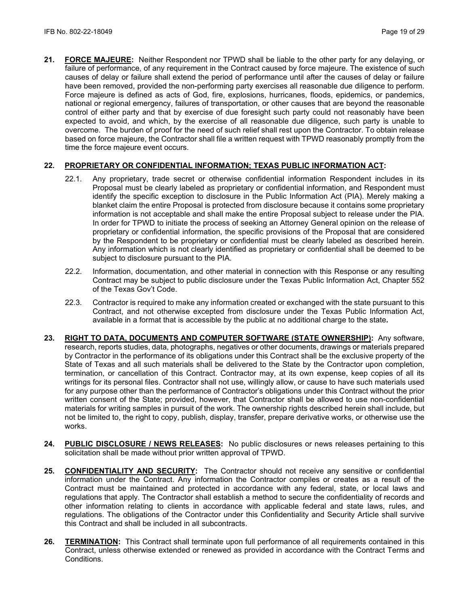**21. FORCE MAJEURE:** Neither Respondent nor TPWD shall be liable to the other party for any delaying, or failure of performance, of any requirement in the Contract caused by force majeure. The existence of such causes of delay or failure shall extend the period of performance until after the causes of delay or failure have been removed, provided the non-performing party exercises all reasonable due diligence to perform. Force majeure is defined as acts of God, fire, explosions, hurricanes, floods, epidemics, or pandemics, national or regional emergency, failures of transportation, or other causes that are beyond the reasonable control of either party and that by exercise of due foresight such party could not reasonably have been expected to avoid, and which, by the exercise of all reasonable due diligence, such party is unable to overcome. The burden of proof for the need of such relief shall rest upon the Contractor. To obtain release based on force majeure, the Contractor shall file a written request with TPWD reasonably promptly from the time the force majeure event occurs.

# **22. PROPRIETARY OR CONFIDENTIAL INFORMATION; TEXAS PUBLIC INFORMATION ACT:**

- 22.1. Any proprietary, trade secret or otherwise confidential information Respondent includes in its Proposal must be clearly labeled as proprietary or confidential information, and Respondent must identify the specific exception to disclosure in the Public Information Act (PIA). Merely making a blanket claim the entire Proposal is protected from disclosure because it contains some proprietary information is not acceptable and shall make the entire Proposal subject to release under the PIA. In order for TPWD to initiate the process of seeking an Attorney General opinion on the release of proprietary or confidential information, the specific provisions of the Proposal that are considered by the Respondent to be proprietary or confidential must be clearly labeled as described herein. Any information which is not clearly identified as proprietary or confidential shall be deemed to be subject to disclosure pursuant to the PIA.
- 22.2. Information, documentation, and other material in connection with this Response or any resulting Contract may be subject to public disclosure under the Texas Public Information Act, Chapter 552 of the Texas Gov't Code.
- 22.3. Contractor is required to make any information created or exchanged with the state pursuant to this Contract, and not otherwise excepted from disclosure under the Texas Public Information Act, available in a format that is accessible by the public at no additional charge to the state**.**
- **23. RIGHT TO DATA, DOCUMENTS AND COMPUTER SOFTWARE (STATE OWNERSHIP):** Any software, research, reports studies, data, photographs, negatives or other documents, drawings or materials prepared by Contractor in the performance of its obligations under this Contract shall be the exclusive property of the State of Texas and all such materials shall be delivered to the State by the Contractor upon completion, termination, or cancellation of this Contract. Contractor may, at its own expense, keep copies of all its writings for its personal files. Contractor shall not use, willingly allow, or cause to have such materials used for any purpose other than the performance of Contractor's obligations under this Contract without the prior written consent of the State; provided, however, that Contractor shall be allowed to use non-confidential materials for writing samples in pursuit of the work. The ownership rights described herein shall include, but not be limited to, the right to copy, publish, display, transfer, prepare derivative works, or otherwise use the works.
- **24. PUBLIC DISCLOSURE / NEWS RELEASES:** No public disclosures or news releases pertaining to this solicitation shall be made without prior written approval of TPWD.
- **25. CONFIDENTIALITY AND SECURITY:** The Contractor should not receive any sensitive or confidential information under the Contract. Any information the Contractor compiles or creates as a result of the Contract must be maintained and protected in accordance with any federal, state, or local laws and regulations that apply. The Contractor shall establish a method to secure the confidentiality of records and other information relating to clients in accordance with applicable federal and state laws, rules, and regulations. The obligations of the Contractor under this Confidentiality and Security Article shall survive this Contract and shall be included in all subcontracts.
- **26. TERMINATION:** This Contract shall terminate upon full performance of all requirements contained in this Contract, unless otherwise extended or renewed as provided in accordance with the Contract Terms and Conditions.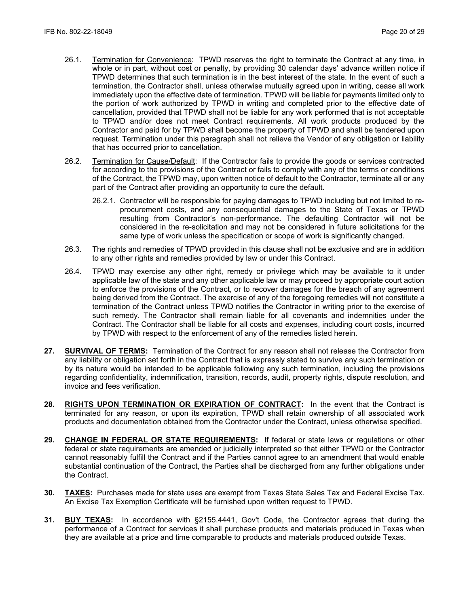- 26.1. Termination for Convenience: TPWD reserves the right to terminate the Contract at any time, in whole or in part, without cost or penalty, by providing 30 calendar days' advance written notice if TPWD determines that such termination is in the best interest of the state. In the event of such a termination, the Contractor shall, unless otherwise mutually agreed upon in writing, cease all work immediately upon the effective date of termination. TPWD will be liable for payments limited only to the portion of work authorized by TPWD in writing and completed prior to the effective date of cancellation, provided that TPWD shall not be liable for any work performed that is not acceptable to TPWD and/or does not meet Contract requirements. All work products produced by the Contractor and paid for by TPWD shall become the property of TPWD and shall be tendered upon request. Termination under this paragraph shall not relieve the Vendor of any obligation or liability that has occurred prior to cancellation.
- 26.2. Termination for Cause/Default: If the Contractor fails to provide the goods or services contracted for according to the provisions of the Contract or fails to comply with any of the terms or conditions of the Contract, the TPWD may, upon written notice of default to the Contractor, terminate all or any part of the Contract after providing an opportunity to cure the default.
	- 26.2.1. Contractor will be responsible for paying damages to TPWD including but not limited to reprocurement costs, and any consequential damages to the State of Texas or TPWD resulting from Contractor's non-performance. The defaulting Contractor will not be considered in the re-solicitation and may not be considered in future solicitations for the same type of work unless the specification or scope of work is significantly changed.
- 26.3. The rights and remedies of TPWD provided in this clause shall not be exclusive and are in addition to any other rights and remedies provided by law or under this Contract.
- 26.4. TPWD may exercise any other right, remedy or privilege which may be available to it under applicable law of the state and any other applicable law or may proceed by appropriate court action to enforce the provisions of the Contract, or to recover damages for the breach of any agreement being derived from the Contract. The exercise of any of the foregoing remedies will not constitute a termination of the Contract unless TPWD notifies the Contractor in writing prior to the exercise of such remedy. The Contractor shall remain liable for all covenants and indemnities under the Contract. The Contractor shall be liable for all costs and expenses, including court costs, incurred by TPWD with respect to the enforcement of any of the remedies listed herein.
- **27. SURVIVAL OF TERMS:** Termination of the Contract for any reason shall not release the Contractor from any liability or obligation set forth in the Contract that is expressly stated to survive any such termination or by its nature would be intended to be applicable following any such termination, including the provisions regarding confidentiality, indemnification, transition, records, audit, property rights, dispute resolution, and invoice and fees verification.
- **28. RIGHTS UPON TERMINATION OR EXPIRATION OF CONTRACT:** In the event that the Contract is terminated for any reason, or upon its expiration, TPWD shall retain ownership of all associated work products and documentation obtained from the Contractor under the Contract, unless otherwise specified.
- **29. CHANGE IN FEDERAL OR STATE REQUIREMENTS:** If federal or state laws or regulations or other federal or state requirements are amended or judicially interpreted so that either TPWD or the Contractor cannot reasonably fulfill the Contract and if the Parties cannot agree to an amendment that would enable substantial continuation of the Contract, the Parties shall be discharged from any further obligations under the Contract.
- **30. TAXES:** Purchases made for state uses are exempt from Texas State Sales Tax and Federal Excise Tax. An Excise Tax Exemption Certificate will be furnished upon written request to TPWD.
- **31. BUY TEXAS:** In accordance with §2155.4441, Gov't Code, the Contractor agrees that during the performance of a Contract for services it shall purchase products and materials produced in Texas when they are available at a price and time comparable to products and materials produced outside Texas.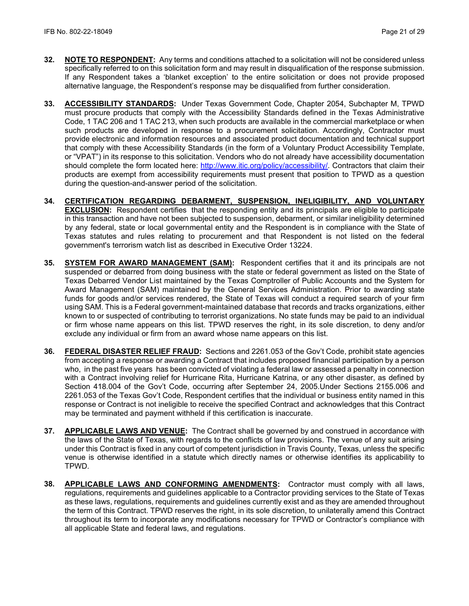- **32. NOTE TO RESPONDENT:** Any terms and conditions attached to a solicitation will not be considered unless specifically referred to on this solicitation form and may result in disqualification of the response submission. If any Respondent takes a 'blanket exception' to the entire solicitation or does not provide proposed alternative language, the Respondent's response may be disqualified from further consideration.
- **33. ACCESSIBILITY STANDARDS:** Under Texas Government Code, Chapter 2054, Subchapter M, TPWD must procure products that comply with the Accessibility Standards defined in the Texas Administrative Code, 1 TAC 206 and 1 TAC 213, when such products are available in the commercial marketplace or when such products are developed in response to a procurement solicitation. Accordingly, Contractor must provide electronic and information resources and associated product documentation and technical support that comply with these Accessibility Standards (in the form of a Voluntary Product Accessibility Template, or "VPAT") in its response to this solicitation. Vendors who do not already have accessibility documentation should complete the form located here: [http://www.itic.org/policy/accessibility/.](http://www.itic.org/policy/accessibility/) Contractors that claim their products are exempt from accessibility requirements must present that position to TPWD as a question during the question-and-answer period of the solicitation.
- **34. CERTIFICATION REGARDING DEBARMENT, SUSPENSION, INELIGIBILITY, AND VOLUNTARY EXCLUSION:** Respondent certifies that the responding entity and its principals are eligible to participate in this transaction and have not been subjected to suspension, debarment, or similar ineligibility determined by any federal, state or local governmental entity and the Respondent is in compliance with the State of Texas statutes and rules relating to procurement and that Respondent is not listed on the federal government's terrorism watch list as described in Executive Order 13224.
- **35. SYSTEM FOR AWARD MANAGEMENT (SAM):** Respondent certifies that it and its principals are not suspended or debarred from doing business with the state or federal government as listed on the State of Texas Debarred Vendor List maintained by the Texas Comptroller of Public Accounts and the System for Award Management (SAM) maintained by the General Services Administration. Prior to awarding state funds for goods and/or services rendered, the State of Texas will conduct a required search of your firm using SAM. This is a Federal government-maintained database that records and tracks organizations, either known to or suspected of contributing to terrorist organizations. No state funds may be paid to an individual or firm whose name appears on this list. TPWD reserves the right, in its sole discretion, to deny and/or exclude any individual or firm from an award whose name appears on this list.
- **36. FEDERAL DISASTER RELIEF FRAUD:** Sections and 2261.053 of the Gov't Code, prohibit state agencies from accepting a response or awarding a Contract that includes proposed financial participation by a person who, in the past five years has been convicted of violating a federal law or assessed a penalty in connection with a Contract involving relief for Hurricane Rita, Hurricane Katrina, or any other disaster, as defined by Section 418.004 of the Gov't Code, occurring after September 24, 2005.Under Sections 2155.006 and 2261.053 of the Texas Gov't Code, Respondent certifies that the individual or business entity named in this response or Contract is not ineligible to receive the specified Contract and acknowledges that this Contract may be terminated and payment withheld if this certification is inaccurate.
- **37. APPLICABLE LAWS AND VENUE:** The Contract shall be governed by and construed in accordance with the laws of the State of Texas, with regards to the conflicts of law provisions. The venue of any suit arising under this Contract is fixed in any court of competent jurisdiction in Travis County, Texas, unless the specific venue is otherwise identified in a statute which directly names or otherwise identifies its applicability to TPWD.
- **38. APPLICABLE LAWS AND CONFORMING AMENDMENTS:** Contractor must comply with all laws, regulations, requirements and guidelines applicable to a Contractor providing services to the State of Texas as these laws, regulations, requirements and guidelines currently exist and as they are amended throughout the term of this Contract. TPWD reserves the right, in its sole discretion, to unilaterally amend this Contract throughout its term to incorporate any modifications necessary for TPWD or Contractor's compliance with all applicable State and federal laws, and regulations.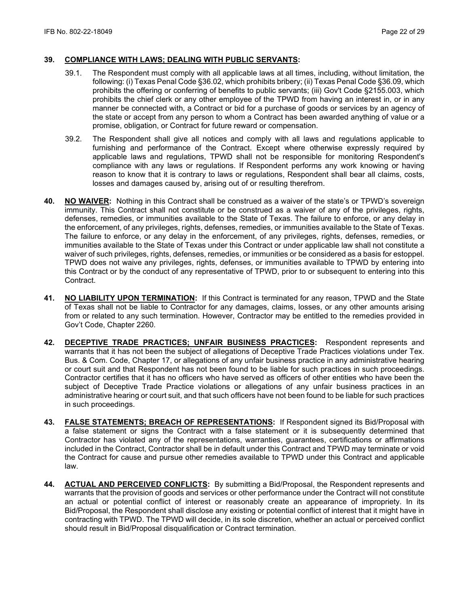#### **39. COMPLIANCE WITH LAWS; DEALING WITH PUBLIC SERVANTS:**

- 39.1. The Respondent must comply with all applicable laws at all times, including, without limitation, the following: (i) Texas Penal Code §36.02, which prohibits bribery; (ii) Texas Penal Code §36.09, which prohibits the offering or conferring of benefits to public servants; (iii) Gov't Code §2155.003, which prohibits the chief clerk or any other employee of the TPWD from having an interest in, or in any manner be connected with, a Contract or bid for a purchase of goods or services by an agency of the state or accept from any person to whom a Contract has been awarded anything of value or a promise, obligation, or Contract for future reward or compensation.
- 39.2. The Respondent shall give all notices and comply with all laws and regulations applicable to furnishing and performance of the Contract. Except where otherwise expressly required by applicable laws and regulations, TPWD shall not be responsible for monitoring Respondent's compliance with any laws or regulations. If Respondent performs any work knowing or having reason to know that it is contrary to laws or regulations, Respondent shall bear all claims, costs, losses and damages caused by, arising out of or resulting therefrom.
- **40. NO WAIVER:** Nothing in this Contract shall be construed as a waiver of the state's or TPWD's sovereign immunity. This Contract shall not constitute or be construed as a waiver of any of the privileges, rights, defenses, remedies, or immunities available to the State of Texas. The failure to enforce, or any delay in the enforcement, of any privileges, rights, defenses, remedies, or immunities available to the State of Texas. The failure to enforce, or any delay in the enforcement, of any privileges, rights, defenses, remedies, or immunities available to the State of Texas under this Contract or under applicable law shall not constitute a waiver of such privileges, rights, defenses, remedies, or immunities or be considered as a basis for estoppel. TPWD does not waive any privileges, rights, defenses, or immunities available to TPWD by entering into this Contract or by the conduct of any representative of TPWD, prior to or subsequent to entering into this Contract.
- **41. NO LIABILITY UPON TERMINATION:** If this Contract is terminated for any reason, TPWD and the State of Texas shall not be liable to Contractor for any damages, claims, losses, or any other amounts arising from or related to any such termination. However, Contractor may be entitled to the remedies provided in Gov't Code, Chapter 2260.
- **42. DECEPTIVE TRADE PRACTICES; UNFAIR BUSINESS PRACTICES:** Respondent represents and warrants that it has not been the subject of allegations of Deceptive Trade Practices violations under Tex. Bus. & Com. Code, Chapter 17, or allegations of any unfair business practice in any administrative hearing or court suit and that Respondent has not been found to be liable for such practices in such proceedings. Contractor certifies that it has no officers who have served as officers of other entities who have been the subject of Deceptive Trade Practice violations or allegations of any unfair business practices in an administrative hearing or court suit, and that such officers have not been found to be liable for such practices in such proceedings.
- **43. FALSE STATEMENTS; BREACH OF REPRESENTATIONS:** If Respondent signed its Bid/Proposal with a false statement or signs the Contract with a false statement or it is subsequently determined that Contractor has violated any of the representations, warranties, guarantees, certifications or affirmations included in the Contract, Contractor shall be in default under this Contract and TPWD may terminate or void the Contract for cause and pursue other remedies available to TPWD under this Contract and applicable law.
- **44. ACTUAL AND PERCEIVED CONFLICTS:** By submitting a Bid/Proposal, the Respondent represents and warrants that the provision of goods and services or other performance under the Contract will not constitute an actual or potential conflict of interest or reasonably create an appearance of impropriety. In its Bid/Proposal, the Respondent shall disclose any existing or potential conflict of interest that it might have in contracting with TPWD. The TPWD will decide, in its sole discretion, whether an actual or perceived conflict should result in Bid/Proposal disqualification or Contract termination.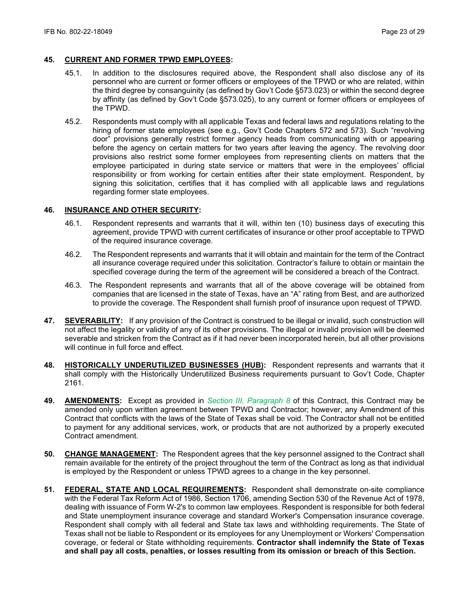### **45. CURRENT AND FORMER TPWD EMPLOYEES:**

- 45.1. In addition to the disclosures required above, the Respondent shall also disclose any of its personnel who are current or former officers or employees of the TPWD or who are related, within the third degree by consanguinity (as defined by Gov't Code §573.023) or within the second degree by affinity (as defined by Gov't Code §573.025), to any current or former officers or employees of the TPWD.
- 45.2. Respondents must comply with all applicable Texas and federal laws and regulations relating to the hiring of former state employees (see e.g., Gov't Code Chapters 572 and 573). Such "revolving door" provisions generally restrict former agency heads from communicating with or appearing before the agency on certain matters for two years after leaving the agency. The revolving door provisions also restrict some former employees from representing clients on matters that the employee participated in during state service or matters that were in the employees' official responsibility or from working for certain entities after their state employment. Respondent, by signing this solicitation, certifies that it has complied with all applicable laws and regulations regarding former state employees.

### **46. INSURANCE AND OTHER SECURITY:**

- 46.1. Respondent represents and warrants that it will, within ten (10) business days of executing this agreement, provide TPWD with current certificates of insurance or other proof acceptable to TPWD of the required insurance coverage.
- 46.2. The Respondent represents and warrants that it will obtain and maintain for the term of the Contract all insurance coverage required under this solicitation. Contractor's failure to obtain or maintain the specified coverage during the term of the agreement will be considered a breach of the Contract.
- 46.3. The Respondent represents and warrants that all of the above coverage will be obtained from companies that are licensed in the state of Texas, have an "A" rating from Best, and are authorized to provide the coverage. The Respondent shall furnish proof of insurance upon request of TPWD.
- **47. SEVERABILITY:** If any provision of the Contract is construed to be illegal or invalid, such construction will not affect the legality or validity of any of its other provisions. The illegal or invalid provision will be deemed severable and stricken from the Contract as if it had never been incorporated herein, but all other provisions will continue in full force and effect.
- **48. HISTORICALLY UNDERUTILIZED BUSINESSES (HUB):** Respondent represents and warrants that it shall comply with the Historically Underutilized Business requirements pursuant to Gov't Code, Chapter 2161.
- **49. AMENDMENTS:** Except as provided in *Section III, Paragraph 8* of this Contract, this Contract may be amended only upon written agreement between TPWD and Contractor; however, any Amendment of this Contract that conflicts with the laws of the State of Texas shall be void. The Contractor shall not be entitled to payment for any additional services, work, or products that are not authorized by a properly executed Contract amendment.
- **50. CHANGE MANAGEMENT:** The Respondent agrees that the key personnel assigned to the Contract shall remain available for the entirety of the project throughout the term of the Contract as long as that individual is employed by the Respondent or unless TPWD agrees to a change in the key personnel.
- **51. FEDERAL, STATE AND LOCAL REQUIREMENTS:** Respondent shall demonstrate on-site compliance with the Federal Tax Reform Act of 1986, Section 1706, amending Section 530 of the Revenue Act of 1978, dealing with issuance of Form W-2's to common law employees. Respondent is responsible for both federal and State unemployment insurance coverage and standard Worker's Compensation insurance coverage. Respondent shall comply with all federal and State tax laws and withholding requirements. The State of Texas shall not be liable to Respondent or its employees for any Unemployment or Workers' Compensation coverage, or federal or State withholding requirements. **Contractor shall indemnify the State of Texas and shall pay all costs, penalties, or losses resulting from its omission or breach of this Section.**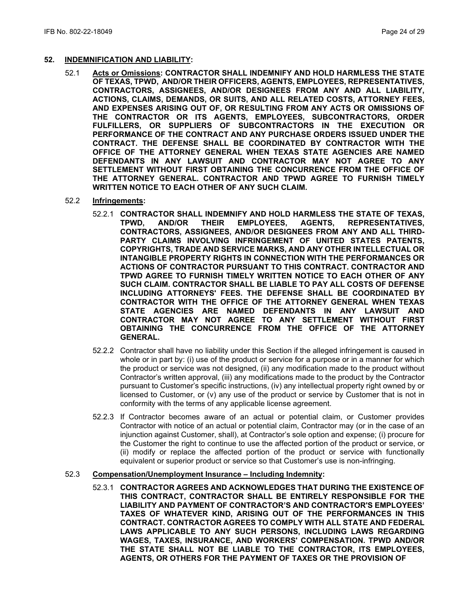### **52. INDEMNIFICATION AND LIABILITY:**

- 52.1 **Acts or Omissions: CONTRACTOR SHALL INDEMNIFY AND HOLD HARMLESS THE STATE OF TEXAS, TPWD, AND/OR THEIR OFFICERS, AGENTS, EMPLOYEES, REPRESENTATIVES, CONTRACTORS, ASSIGNEES, AND/OR DESIGNEES FROM ANY AND ALL LIABILITY, ACTIONS, CLAIMS, DEMANDS, OR SUITS, AND ALL RELATED COSTS, ATTORNEY FEES, AND EXPENSES ARISING OUT OF, OR RESULTING FROM ANY ACTS OR OMISSIONS OF THE CONTRACTOR OR ITS AGENTS, EMPLOYEES, SUBCONTRACTORS, ORDER FULFILLERS, OR SUPPLIERS OF SUBCONTRACTORS IN THE EXECUTION OR PERFORMANCE OF THE CONTRACT AND ANY PURCHASE ORDERS ISSUED UNDER THE CONTRACT. THE DEFENSE SHALL BE COORDINATED BY CONTRACTOR WITH THE OFFICE OF THE ATTORNEY GENERAL WHEN TEXAS STATE AGENCIES ARE NAMED DEFENDANTS IN ANY LAWSUIT AND CONTRACTOR MAY NOT AGREE TO ANY SETTLEMENT WITHOUT FIRST OBTAINING THE CONCURRENCE FROM THE OFFICE OF THE ATTORNEY GENERAL. CONTRACTOR AND TPWD AGREE TO FURNISH TIMELY WRITTEN NOTICE TO EACH OTHER OF ANY SUCH CLAIM.**
- 52.2 **Infringements:** 
	- 52.2.1 **CONTRACTOR SHALL INDEMNIFY AND HOLD HARMLESS THE STATE OF TEXAS, REPRESENTATIVES, CONTRACTORS, ASSIGNEES, AND/OR DESIGNEES FROM ANY AND ALL THIRD-PARTY CLAIMS INVOLVING INFRINGEMENT OF UNITED STATES PATENTS, COPYRIGHTS, TRADE AND SERVICE MARKS, AND ANY OTHER INTELLECTUAL OR INTANGIBLE PROPERTY RIGHTS IN CONNECTION WITH THE PERFORMANCES OR ACTIONS OF CONTRACTOR PURSUANT TO THIS CONTRACT. CONTRACTOR AND TPWD AGREE TO FURNISH TIMELY WRITTEN NOTICE TO EACH OTHER OF ANY SUCH CLAIM. CONTRACTOR SHALL BE LIABLE TO PAY ALL COSTS OF DEFENSE INCLUDING ATTORNEYS' FEES. THE DEFENSE SHALL BE COORDINATED BY CONTRACTOR WITH THE OFFICE OF THE ATTORNEY GENERAL WHEN TEXAS STATE AGENCIES ARE NAMED DEFENDANTS IN ANY LAWSUIT AND CONTRACTOR MAY NOT AGREE TO ANY SETTLEMENT WITHOUT FIRST OBTAINING THE CONCURRENCE FROM THE OFFICE OF THE ATTORNEY GENERAL.**
	- 52.2.2 Contractor shall have no liability under this Section if the alleged infringement is caused in whole or in part by: (i) use of the product or service for a purpose or in a manner for which the product or service was not designed, (ii) any modification made to the product without Contractor's written approval, (iii) any modifications made to the product by the Contractor pursuant to Customer's specific instructions, (iv) any intellectual property right owned by or licensed to Customer, or (v) any use of the product or service by Customer that is not in conformity with the terms of any applicable license agreement.
	- 52.2.3 If Contractor becomes aware of an actual or potential claim, or Customer provides Contractor with notice of an actual or potential claim, Contractor may (or in the case of an injunction against Customer, shall), at Contractor's sole option and expense; (i) procure for the Customer the right to continue to use the affected portion of the product or service, or (ii) modify or replace the affected portion of the product or service with functionally equivalent or superior product or service so that Customer's use is non-infringing.

### 52.3 **Compensation/Unemployment Insurance – Including Indemnity:**

52.3.1 **CONTRACTOR AGREES AND ACKNOWLEDGES THAT DURING THE EXISTENCE OF THIS CONTRACT, CONTRACTOR SHALL BE ENTIRELY RESPONSIBLE FOR THE LIABILITY AND PAYMENT OF CONTRACTOR'S AND CONTRACTOR'S EMPLOYEES' TAXES OF WHATEVER KIND, ARISING OUT OF THE PERFORMANCES IN THIS CONTRACT. CONTRACTOR AGREES TO COMPLY WITH ALL STATE AND FEDERAL LAWS APPLICABLE TO ANY SUCH PERSONS, INCLUDING LAWS REGARDING WAGES, TAXES, INSURANCE, AND WORKERS' COMPENSATION. TPWD AND/OR THE STATE SHALL NOT BE LIABLE TO THE CONTRACTOR, ITS EMPLOYEES, AGENTS, OR OTHERS FOR THE PAYMENT OF TAXES OR THE PROVISION OF**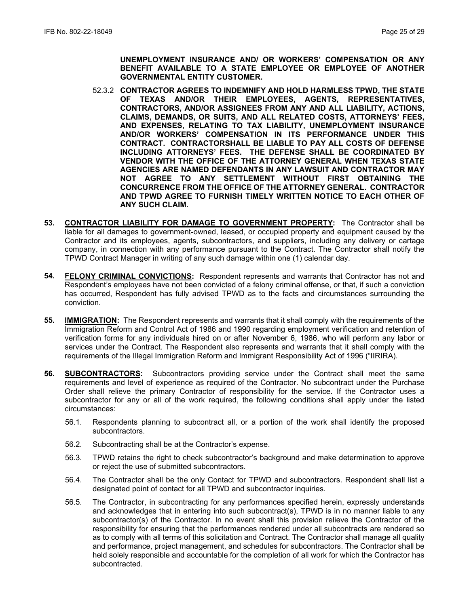**UNEMPLOYMENT INSURANCE AND/ OR WORKERS' COMPENSATION OR ANY BENEFIT AVAILABLE TO A STATE EMPLOYEE OR EMPLOYEE OF ANOTHER GOVERNMENTAL ENTITY CUSTOMER.**

- 52.3.2 **CONTRACTOR AGREES TO INDEMNIFY AND HOLD HARMLESS TPWD, THE STATE OF TEXAS AND/OR THEIR EMPLOYEES, AGENTS, REPRESENTATIVES, CONTRACTORS, AND/OR ASSIGNEES FROM ANY AND ALL LIABILITY, ACTIONS, CLAIMS, DEMANDS, OR SUITS, AND ALL RELATED COSTS, ATTORNEYS' FEES, AND EXPENSES, RELATING TO TAX LIABILITY, UNEMPLOYMENT INSURANCE AND/OR WORKERS' COMPENSATION IN ITS PERFORMANCE UNDER THIS CONTRACT. CONTRACTORSHALL BE LIABLE TO PAY ALL COSTS OF DEFENSE INCLUDING ATTORNEYS' FEES. THE DEFENSE SHALL BE COORDINATED BY VENDOR WITH THE OFFICE OF THE ATTORNEY GENERAL WHEN TEXAS STATE AGENCIES ARE NAMED DEFENDANTS IN ANY LAWSUIT AND CONTRACTOR MAY NOT AGREE TO ANY SETTLEMENT WITHOUT FIRST OBTAINING THE CONCURRENCE FROM THE OFFICE OF THE ATTORNEY GENERAL. CONTRACTOR AND TPWD AGREE TO FURNISH TIMELY WRITTEN NOTICE TO EACH OTHER OF ANY SUCH CLAIM.**
- **53. CONTRACTOR LIABILITY FOR DAMAGE TO GOVERNMENT PROPERTY:** The Contractor shall be liable for all damages to government-owned, leased, or occupied property and equipment caused by the Contractor and its employees, agents, subcontractors, and suppliers, including any delivery or cartage company, in connection with any performance pursuant to the Contract. The Contractor shall notify the TPWD Contract Manager in writing of any such damage within one (1) calendar day.
- **54. FELONY CRIMINAL CONVICTIONS:** Respondent represents and warrants that Contractor has not and Respondent's employees have not been convicted of a felony criminal offense, or that, if such a conviction has occurred, Respondent has fully advised TPWD as to the facts and circumstances surrounding the conviction.
- **55. IMMIGRATION:** The Respondent represents and warrants that it shall comply with the requirements of the Immigration Reform and Control Act of 1986 and 1990 regarding employment verification and retention of verification forms for any individuals hired on or after November 6, 1986, who will perform any labor or services under the Contract. The Respondent also represents and warrants that it shall comply with the requirements of the Illegal Immigration Reform and Immigrant Responsibility Act of 1996 ("IIRIRA).
- **56. SUBCONTRACTORS:** Subcontractors providing service under the Contract shall meet the same requirements and level of experience as required of the Contractor. No subcontract under the Purchase Order shall relieve the primary Contractor of responsibility for the service. If the Contractor uses a subcontractor for any or all of the work required, the following conditions shall apply under the listed circumstances:
	- 56.1. Respondents planning to subcontract all, or a portion of the work shall identify the proposed subcontractors.
	- 56.2. Subcontracting shall be at the Contractor's expense.
	- 56.3. TPWD retains the right to check subcontractor's background and make determination to approve or reject the use of submitted subcontractors.
	- 56.4. The Contractor shall be the only Contact for TPWD and subcontractors. Respondent shall list a designated point of contact for all TPWD and subcontractor inquiries.
	- 56.5. The Contractor, in subcontracting for any performances specified herein, expressly understands and acknowledges that in entering into such subcontract(s), TPWD is in no manner liable to any subcontractor(s) of the Contractor. In no event shall this provision relieve the Contractor of the responsibility for ensuring that the performances rendered under all subcontracts are rendered so as to comply with all terms of this solicitation and Contract. The Contractor shall manage all quality and performance, project management, and schedules for subcontractors. The Contractor shall be held solely responsible and accountable for the completion of all work for which the Contractor has subcontracted.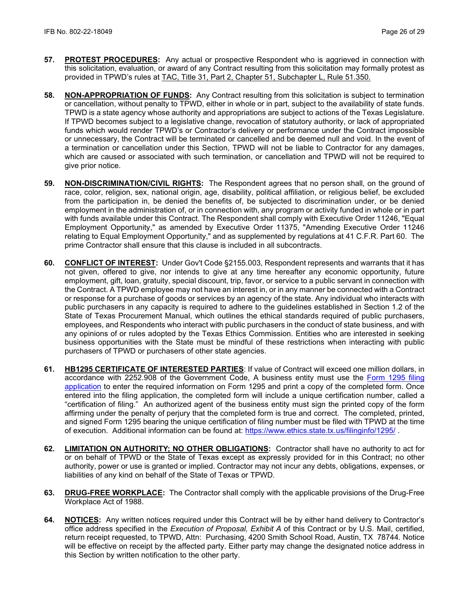- **57. PROTEST PROCEDURES:** Any actual or prospective Respondent who is aggrieved in connection with this solicitation, evaluation, or award of any Contract resulting from this solicitation may formally protest as provided in TPWD's rules at [TAC, Title 31, Part 2, Chapter 51, Subchapter L, Rule 51.350.](http://texreg.sos.state.tx.us/public/readtac$ext.TacPage?sl=R&app=9&p_dir=&p_rloc=&p_tloc=&p_ploc=&pg=1&p_tac=&ti=31&pt=2&ch=51&rl=350)
- **58. NON-APPROPRIATION OF FUNDS:** Any Contract resulting from this solicitation is subject to termination or cancellation, without penalty to TPWD, either in whole or in part, subject to the availability of state funds. TPWD is a state agency whose authority and appropriations are subject to actions of the Texas Legislature. If TPWD becomes subject to a legislative change, revocation of statutory authority, or lack of appropriated funds which would render TPWD's or Contractor's delivery or performance under the Contract impossible or unnecessary, the Contract will be terminated or cancelled and be deemed null and void. In the event of a termination or cancellation under this Section, TPWD will not be liable to Contractor for any damages, which are caused or associated with such termination, or cancellation and TPWD will not be required to give prior notice.
- **59. NON-DISCRIMINATION/CIVIL RIGHTS:** The Respondent agrees that no person shall, on the ground of race, color, religion, sex, national origin, age, disability, political affiliation, or religious belief, be excluded from the participation in, be denied the benefits of, be subjected to discrimination under, or be denied employment in the administration of, or in connection with, any program or activity funded in whole or in part with funds available under this Contract. The Respondent shall comply with Executive Order 11246, "Equal Employment Opportunity," as amended by Executive Order 11375, "Amending Executive Order 11246 relating to Equal Employment Opportunity," and as supplemented by regulations at 41 C.F.R. Part 60. The prime Contractor shall ensure that this clause is included in all subcontracts.
- **60. CONFLICT OF INTEREST:** Under Gov't Code §2155.003, Respondent represents and warrants that it has not given, offered to give, nor intends to give at any time hereafter any economic opportunity, future employment, gift, loan, gratuity, special discount, trip, favor, or service to a public servant in connection with the Contract. A TPWD employee may not have an interest in, or in any manner be connected with a Contract or response for a purchase of goods or services by an agency of the state. Any individual who interacts with public purchasers in any capacity is required to adhere to the guidelines established in Section 1.2 of the State of Texas Procurement Manual, which outlines the ethical standards required of public purchasers, employees, and Respondents who interact with public purchasers in the conduct of state business, and with any opinions of or rules adopted by the Texas Ethics Commission. Entities who are interested in seeking business opportunities with the State must be mindful of these restrictions when interacting with public purchasers of TPWD or purchasers of other state agencies.
- **61. HB1295 CERTIFICATE OF INTERESTED PARTIES**: If value of Contract will exceed one million dollars, in accordance with 2252.908 of the Government Code, A business entity must use the [Form 1295 filing](https://www.ethics.state.tx.us/whatsnew/elf_info_form1295.htm)  [application](https://www.ethics.state.tx.us/whatsnew/elf_info_form1295.htm) to enter the required information on Form 1295 and print a copy of the completed form. Once entered into the filing application, the completed form will include a unique certification number, called a "certification of filing." An authorized agent of the business entity must sign the printed copy of the form affirming under the penalty of perjury that the completed form is true and correct. The completed, printed, and signed Form 1295 bearing the unique certification of filing number must be filed with TPWD at the time of execution. Additional information can be found at:<https://www.ethics.state.tx.us/filinginfo/1295/> .
- **62. LIMITATION ON AUTHORITY; NO OTHER OBLIGATIONS:** Contractor shall have no authority to act for or on behalf of TPWD or the State of Texas except as expressly provided for in this Contract; no other authority, power or use is granted or implied. Contractor may not incur any debts, obligations, expenses, or liabilities of any kind on behalf of the State of Texas or TPWD.
- **63. DRUG-FREE WORKPLACE:** The Contractor shall comply with the applicable provisions of the Drug-Free Workplace Act of 1988.
- **64. NOTICES:** Any written notices required under this Contract will be by either hand delivery to Contractor's office address specified in the *Execution of Proposal, Exhibit A* of this Contract or by U.S. Mail, certified, return receipt requested, to TPWD, Attn: Purchasing, 4200 Smith School Road, Austin, TX 78744*.* Notice will be effective on receipt by the affected party. Either party may change the designated notice address in this Section by written notification to the other party.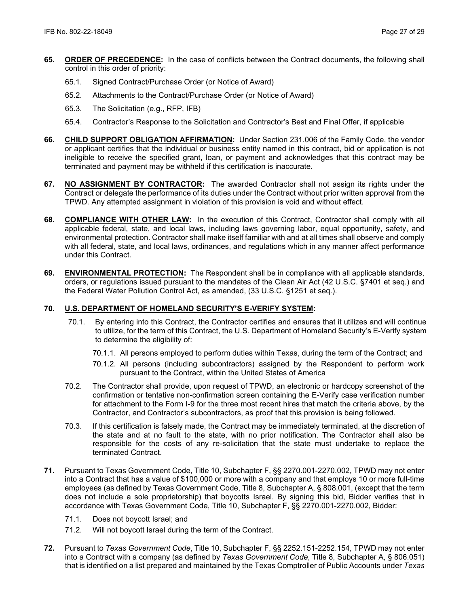- **65. ORDER OF PRECEDENCE:** In the case of conflicts between the Contract documents, the following shall control in this order of priority:
	- 65.1. Signed Contract/Purchase Order (or Notice of Award)
	- 65.2. Attachments to the Contract/Purchase Order (or Notice of Award)
	- 65.3. The Solicitation (e.g., RFP, IFB)
	- 65.4. Contractor's Response to the Solicitation and Contractor's Best and Final Offer, if applicable
- **66. CHILD SUPPORT OBLIGATION AFFIRMATION:** Under Section 231.006 of the Family Code, the vendor or applicant certifies that the individual or business entity named in this contract, bid or application is not ineligible to receive the specified grant, loan, or payment and acknowledges that this contract may be terminated and payment may be withheld if this certification is inaccurate.
- **67. NO ASSIGNMENT BY CONTRACTOR:** The awarded Contractor shall not assign its rights under the Contract or delegate the performance of its duties under the Contract without prior written approval from the TPWD. Any attempted assignment in violation of this provision is void and without effect.
- **68. COMPLIANCE WITH OTHER LAW:** In the execution of this Contract, Contractor shall comply with all applicable federal, state, and local laws, including laws governing labor, equal opportunity, safety, and environmental protection. Contractor shall make itself familiar with and at all times shall observe and comply with all federal, state, and local laws, ordinances, and regulations which in any manner affect performance under this Contract.
- **69. ENVIRONMENTAL PROTECTION:** The Respondent shall be in compliance with all applicable standards, orders, or regulations issued pursuant to the mandates of the Clean Air Act (42 U.S.C. §7401 et seq.) and the Federal Water Pollution Control Act, as amended, (33 U.S.C. §1251 et seq.).

### **70. U.S. DEPARTMENT OF HOMELAND SECURITY'S E-VERIFY SYSTEM:**

- 70.1. By entering into this Contract, the Contractor certifies and ensures that it utilizes and will continue to utilize, for the term of this Contract, the U.S. Department of Homeland Security's E-Verify system to determine the eligibility of:
	- 70.1.1. All persons employed to perform duties within Texas, during the term of the Contract; and
	- 70.1.2. All persons (including subcontractors) assigned by the Respondent to perform work pursuant to the Contract, within the United States of America
- 70.2. The Contractor shall provide, upon request of TPWD, an electronic or hardcopy screenshot of the confirmation or tentative non-confirmation screen containing the E-Verify case verification number for attachment to the Form I-9 for the three most recent hires that match the criteria above, by the Contractor, and Contractor's subcontractors, as proof that this provision is being followed.
- 70.3. If this certification is falsely made, the Contract may be immediately terminated, at the discretion of the state and at no fault to the state, with no prior notification. The Contractor shall also be responsible for the costs of any re-solicitation that the state must undertake to replace the terminated Contract.
- **71.** Pursuant to Texas Government Code, Title 10, Subchapter F, §§ 2270.001-2270.002, TPWD may not enter into a Contract that has a value of \$100,000 or more with a company and that employs 10 or more full-time employees (as defined by Texas Government Code, Title 8, Subchapter A, § 808.001, (except that the term does not include a sole proprietorship) that boycotts Israel. By signing this bid, Bidder verifies that in accordance with Texas Government Code, Title 10, Subchapter F, §§ 2270.001-2270.002, Bidder:
	- 71.1. Does not boycott Israel; and
	- 71.2. Will not boycott Israel during the term of the Contract.
- **72.** Pursuant to *Texas Government Code*, Title 10, Subchapter F, §§ 2252.151-2252.154, TPWD may not enter into a Contract with a company (as defined by *Texas Government Code*, Title 8, Subchapter A, § 806.051) that is identified on a list prepared and maintained by the Texas Comptroller of Public Accounts under *Texas*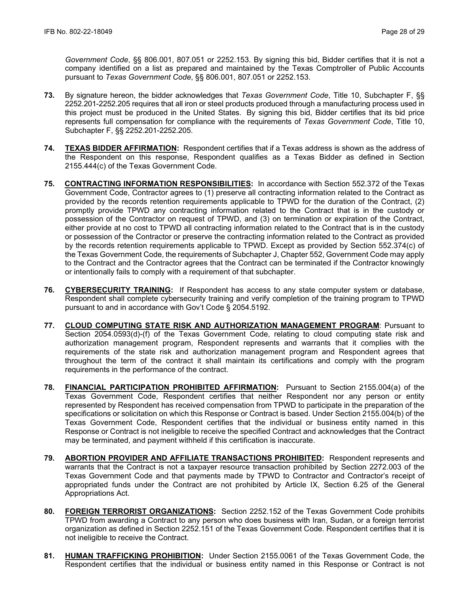*Government Code*, §§ 806.001, 807.051 or 2252.153. By signing this bid, Bidder certifies that it is not a company identified on a list as prepared and maintained by the Texas Comptroller of Public Accounts pursuant to *Texas Government Code*, §§ 806.001, 807.051 or 2252.153.

- **73.** By signature hereon, the bidder acknowledges that *Texas Government Code*, Title 10, Subchapter F, §§ 2252.201-2252.205 requires that all iron or steel products produced through a manufacturing process used in this project must be produced in the United States. By signing this bid, Bidder certifies that its bid price represents full compensation for compliance with the requirements of *Texas Government Code*, Title 10, Subchapter F, §§ 2252.201-2252.205.
- **74. TEXAS BIDDER AFFIRMATION:** Respondent certifies that if a Texas address is shown as the address of the Respondent on this response, Respondent qualifies as a Texas Bidder as defined in Section 2155.444(c) of the Texas Government Code.
- **75. CONTRACTING INFORMATION RESPONSIBILITIES:** In accordance with Section 552.372 of the Texas Government Code, Contractor agrees to (1) preserve all contracting information related to the Contract as provided by the records retention requirements applicable to TPWD for the duration of the Contract, (2) promptly provide TPWD any contracting information related to the Contract that is in the custody or possession of the Contractor on request of TPWD, and (3) on termination or expiration of the Contract, either provide at no cost to TPWD all contracting information related to the Contract that is in the custody or possession of the Contractor or preserve the contracting information related to the Contract as provided by the records retention requirements applicable to TPWD. Except as provided by Section 552.374(c) of the Texas Government Code, the requirements of Subchapter J, Chapter 552, Government Code may apply to the Contract and the Contractor agrees that the Contract can be terminated if the Contractor knowingly or intentionally fails to comply with a requirement of that subchapter.
- **76. CYBERSECURITY TRAINING:** If Respondent has access to any state computer system or database, Respondent shall complete cybersecurity training and verify completion of the training program to TPWD pursuant to and in accordance with Gov't Code § 2054.5192.
- **77. CLOUD COMPUTING STATE RISK AND AUTHORIZATION MANAGEMENT PROGRAM**: Pursuant to Section 2054.0593(d)-(f) of the Texas Government Code, relating to cloud computing state risk and authorization management program, Respondent represents and warrants that it complies with the requirements of the state risk and authorization management program and Respondent agrees that throughout the term of the contract it shall maintain its certifications and comply with the program requirements in the performance of the contract.
- **78. FINANCIAL PARTICIPATION PROHIBITED AFFIRMATION:** Pursuant to Section 2155.004(a) of the Texas Government Code, Respondent certifies that neither Respondent nor any person or entity represented by Respondent has received compensation from TPWD to participate in the preparation of the specifications or solicitation on which this Response or Contract is based. Under Section 2155.004(b) of the Texas Government Code, Respondent certifies that the individual or business entity named in this Response or Contract is not ineligible to receive the specified Contract and acknowledges that the Contract may be terminated, and payment withheld if this certification is inaccurate.
- **79. ABORTION PROVIDER AND AFFILIATE TRANSACTIONS PROHIBITED:** Respondent represents and warrants that the Contract is not a taxpayer resource transaction prohibited by Section 2272.003 of the Texas Government Code and that payments made by TPWD to Contractor and Contractor's receipt of appropriated funds under the Contract are not prohibited by Article IX, Section 6.25 of the General Appropriations Act.
- **80. FOREIGN TERRORIST ORGANIZATIONS:** Section 2252.152 of the Texas Government Code prohibits TPWD from awarding a Contract to any person who does business with Iran, Sudan, or a foreign terrorist organization as defined in Section 2252.151 of the Texas Government Code. Respondent certifies that it is not ineligible to receive the Contract.
- **81. HUMAN TRAFFICKING PROHIBITION:** Under Section 2155.0061 of the Texas Government Code, the Respondent certifies that the individual or business entity named in this Response or Contract is not